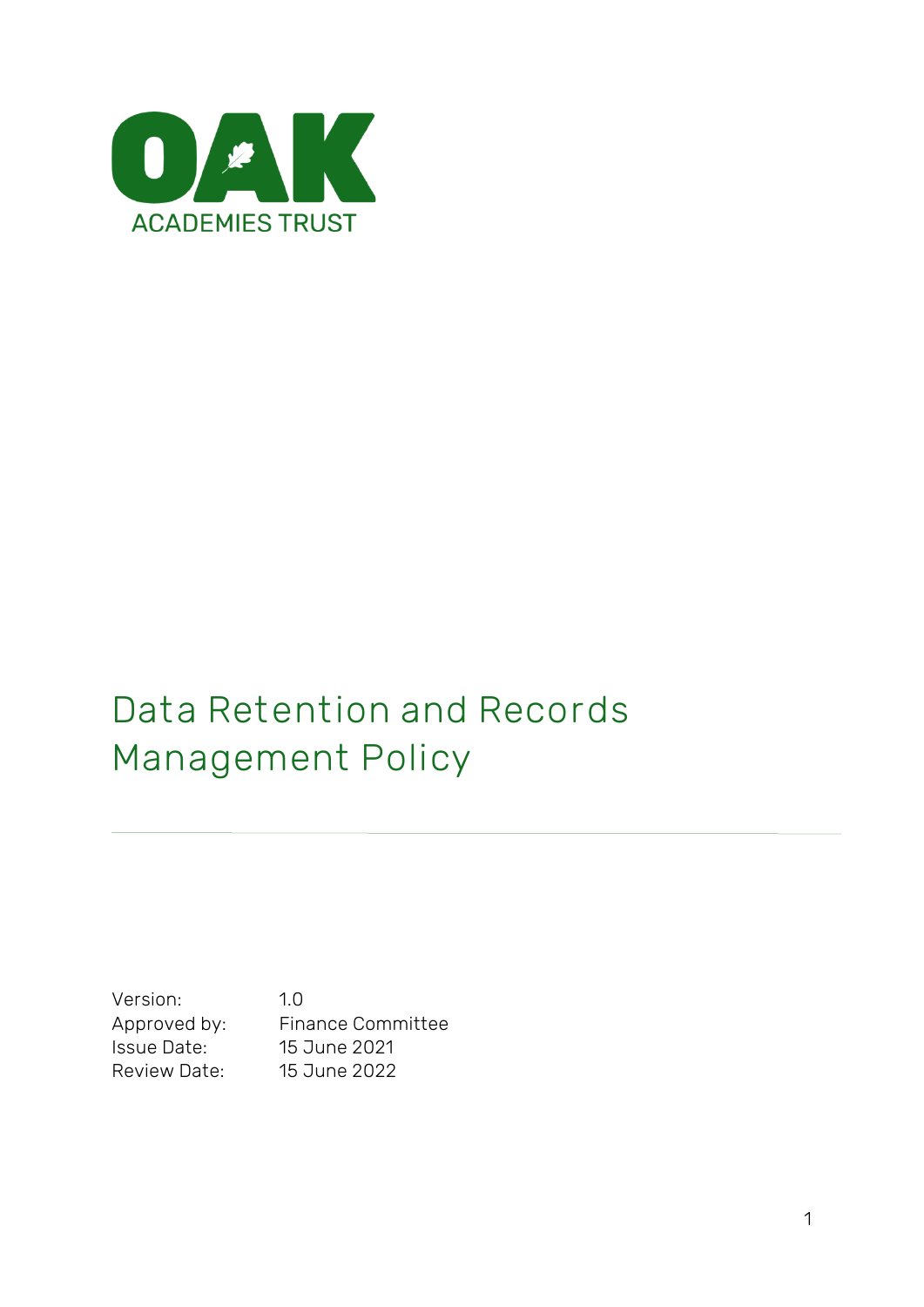

# **Data Retention and Records Management Policy**

Version: 1.0 Approved by: Finance Committee Issue Date: 15 June 2021 Review Date: 15 June 2022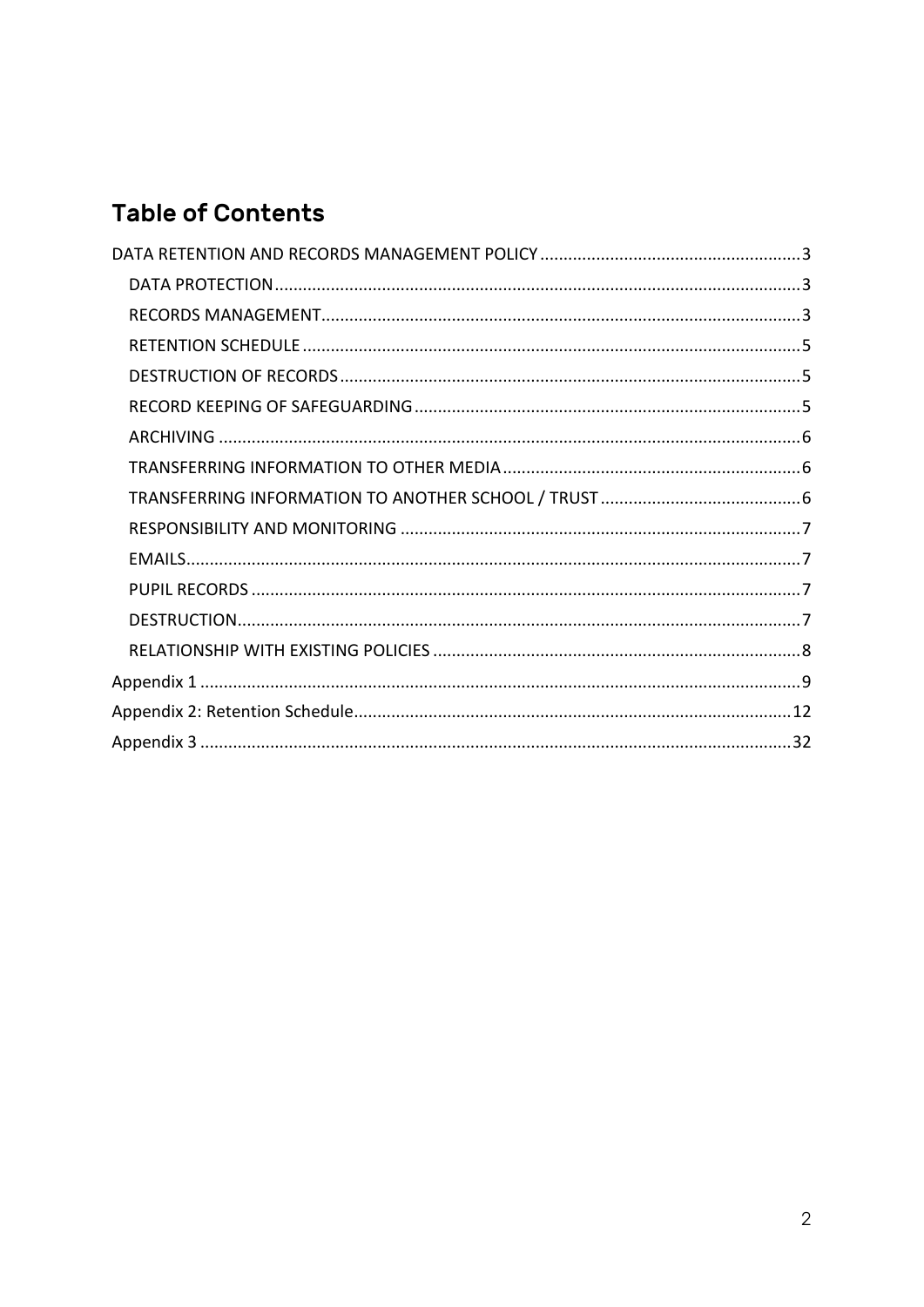# **Table of Contents**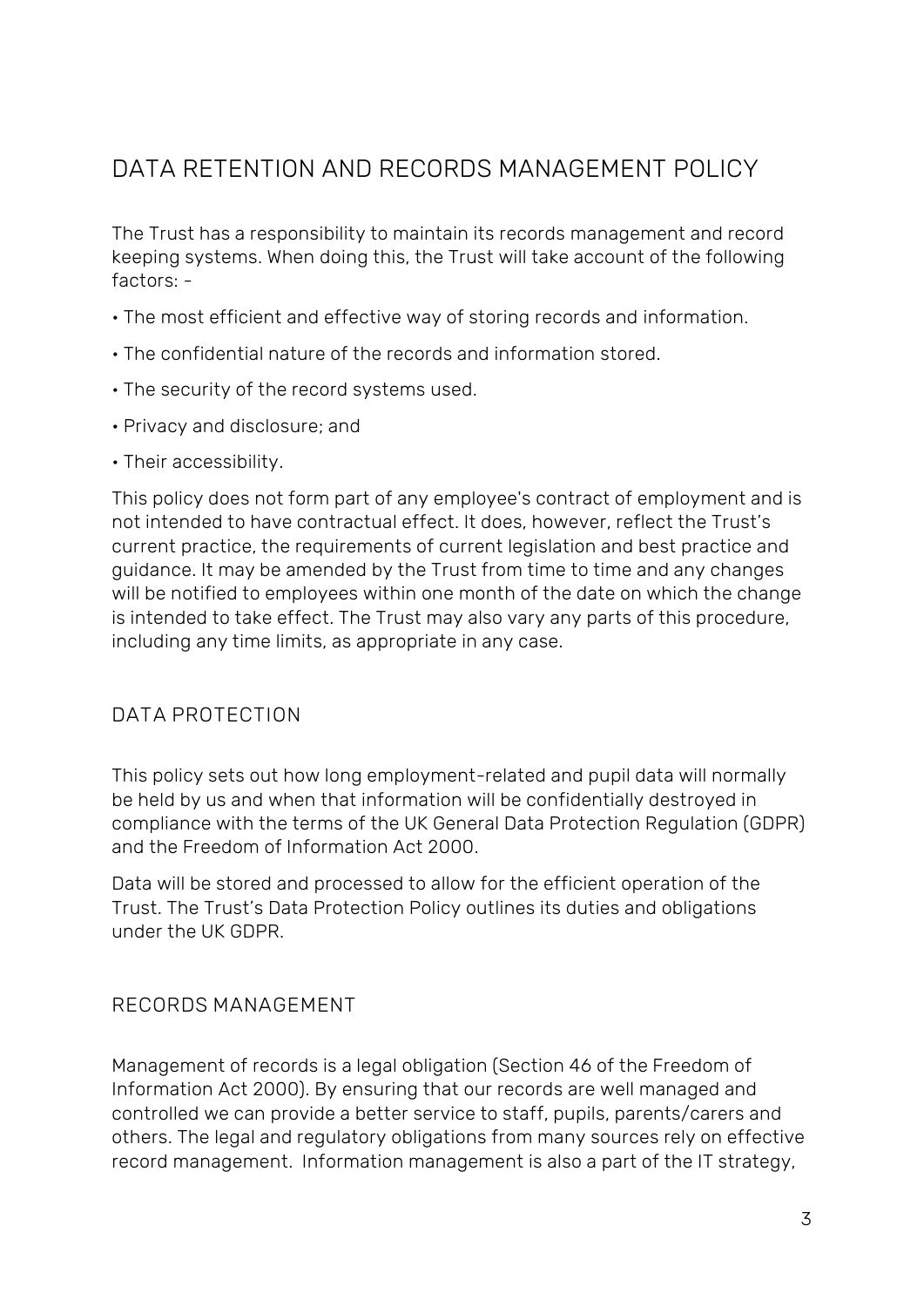# <span id="page-2-0"></span>DATA RETENTION AND RECORDS MANAGEMENT POLICY

The Trust has a responsibility to maintain its records management and record keeping systems. When doing this, the Trust will take account of the following factors: -

- The most efficient and effective way of storing records and information.
- The confidential nature of the records and information stored.
- The security of the record systems used.
- Privacy and disclosure; and
- Their accessibility.

This policy does not form part of any employee's contract of employment and is not intended to have contractual effect. It does, however, reflect the Trust's current practice, the requirements of current legislation and best practice and guidance. It may be amended by the Trust from time to time and any changes will be notified to employees within one month of the date on which the change is intended to take effect. The Trust may also vary any parts of this procedure, including any time limits, as appropriate in any case.

### <span id="page-2-1"></span>**DATA PROTECTION**

This policy sets out how long employment-related and pupil data will normally be held by us and when that information will be confidentially destroyed in compliance with the terms of the UK General Data Protection Regulation (GDPR) and the Freedom of Information Act 2000.

Data will be stored and processed to allow for the efficient operation of the Trust. The Trust's Data Protection Policy outlines its duties and obligations under the UK GDPR.

#### <span id="page-2-2"></span>**RECORDS MANAGEMENT**

Management of records is a legal obligation (Section 46 of the Freedom of Information Act 2000). By ensuring that our records are well managed and controlled we can provide a better service to staff, pupils, parents/carers and others. The legal and regulatory obligations from many sources rely on effective record management. Information management is also a part of the IT strategy,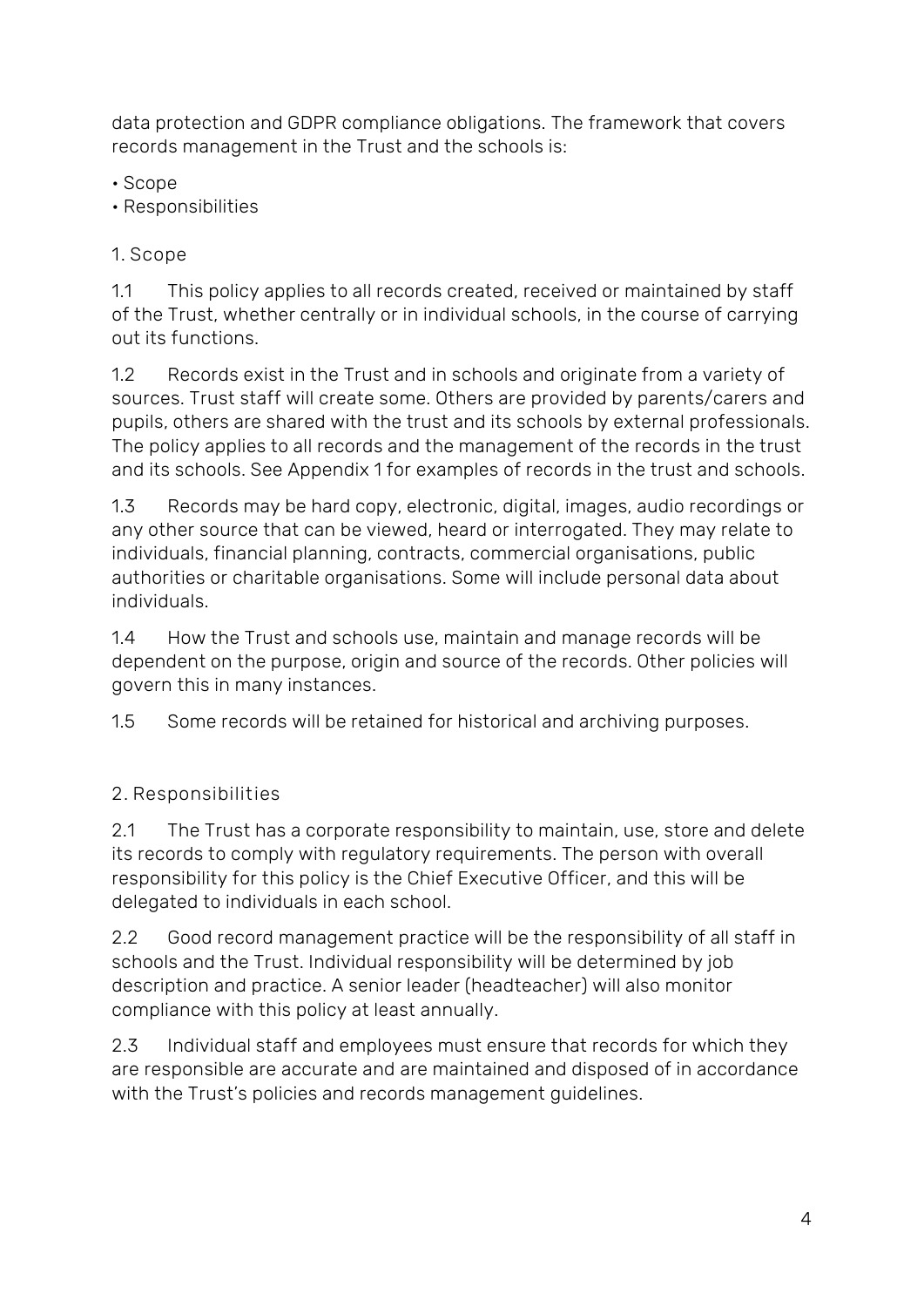data protection and GDPR compliance obligations. The framework that covers records management in the Trust and the schools is:

• Scope

• Responsibilities

**1. Scope** 

1.1 This policy applies to all records created, received or maintained by staff of the Trust, whether centrally or in individual schools, in the course of carrying out its functions.

1.2 Records exist in the Trust and in schools and originate from a variety of sources. Trust staff will create some. Others are provided by parents/carers and pupils, others are shared with the trust and its schools by external professionals. The policy applies to all records and the management of the records in the trust and its schools. See Appendix 1 for examples of records in the trust and schools.

1.3 Records may be hard copy, electronic, digital, images, audio recordings or any other source that can be viewed, heard or interrogated. They may relate to individuals, financial planning, contracts, commercial organisations, public authorities or charitable organisations. Some will include personal data about individuals.

1.4 How the Trust and schools use, maintain and manage records will be dependent on the purpose, origin and source of the records. Other policies will govern this in many instances.

1.5 Some records will be retained for historical and archiving purposes.

# **2. Responsibilities**

2.1 The Trust has a corporate responsibility to maintain, use, store and delete its records to comply with regulatory requirements. The person with overall responsibility for this policy is the Chief Executive Officer, and this will be delegated to individuals in each school.

2.2 Good record management practice will be the responsibility of all staff in schools and the Trust. Individual responsibility will be determined by job description and practice. A senior leader (headteacher) will also monitor compliance with this policy at least annually.

2.3 Individual staff and employees must ensure that records for which they are responsible are accurate and are maintained and disposed of in accordance with the Trust's policies and records management guidelines.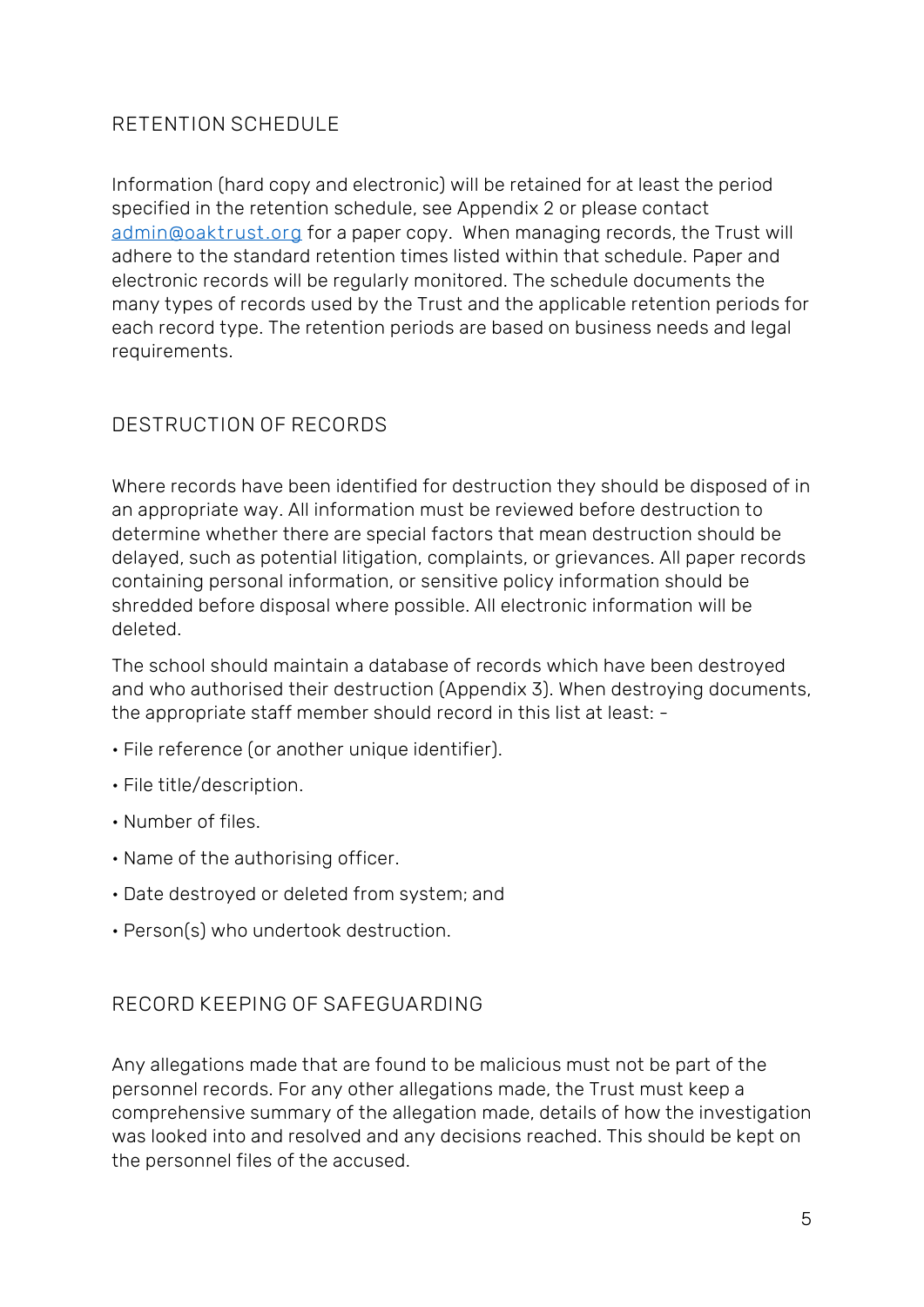# <span id="page-4-0"></span>**RETENTION SCHEDULE**

Information (hard copy and electronic) will be retained for at least the period specified in the retention schedule, see Appendix 2 or please contact **[admin@oaktrust.org](mailto:admin@oaktrust.org)** for a paper copy. When managing records, the Trust will adhere to the standard retention times listed within that schedule. Paper and electronic records will be regularly monitored. The schedule documents the many types of records used by the Trust and the applicable retention periods for each record type. The retention periods are based on business needs and legal requirements.

# <span id="page-4-1"></span>**DESTRUCTION OF RECORDS**

Where records have been identified for destruction they should be disposed of in an appropriate way. All information must be reviewed before destruction to determine whether there are special factors that mean destruction should be delayed, such as potential litigation, complaints, or grievances. All paper records containing personal information, or sensitive policy information should be shredded before disposal where possible. All electronic information will be deleted.

The school should maintain a database of records which have been destroyed and who authorised their destruction (Appendix 3). When destroying documents, the appropriate staff member should record in this list at least: -

- File reference (or another unique identifier).
- File title/description.
- Number of files.
- Name of the authorising officer.
- Date destroyed or deleted from system; and
- Person(s) who undertook destruction.

### <span id="page-4-2"></span>**RECORD KEEPING OF SAFEGUARDING**

Any allegations made that are found to be malicious must not be part of the personnel records. For any other allegations made, the Trust must keep a comprehensive summary of the allegation made, details of how the investigation was looked into and resolved and any decisions reached. This should be kept on the personnel files of the accused.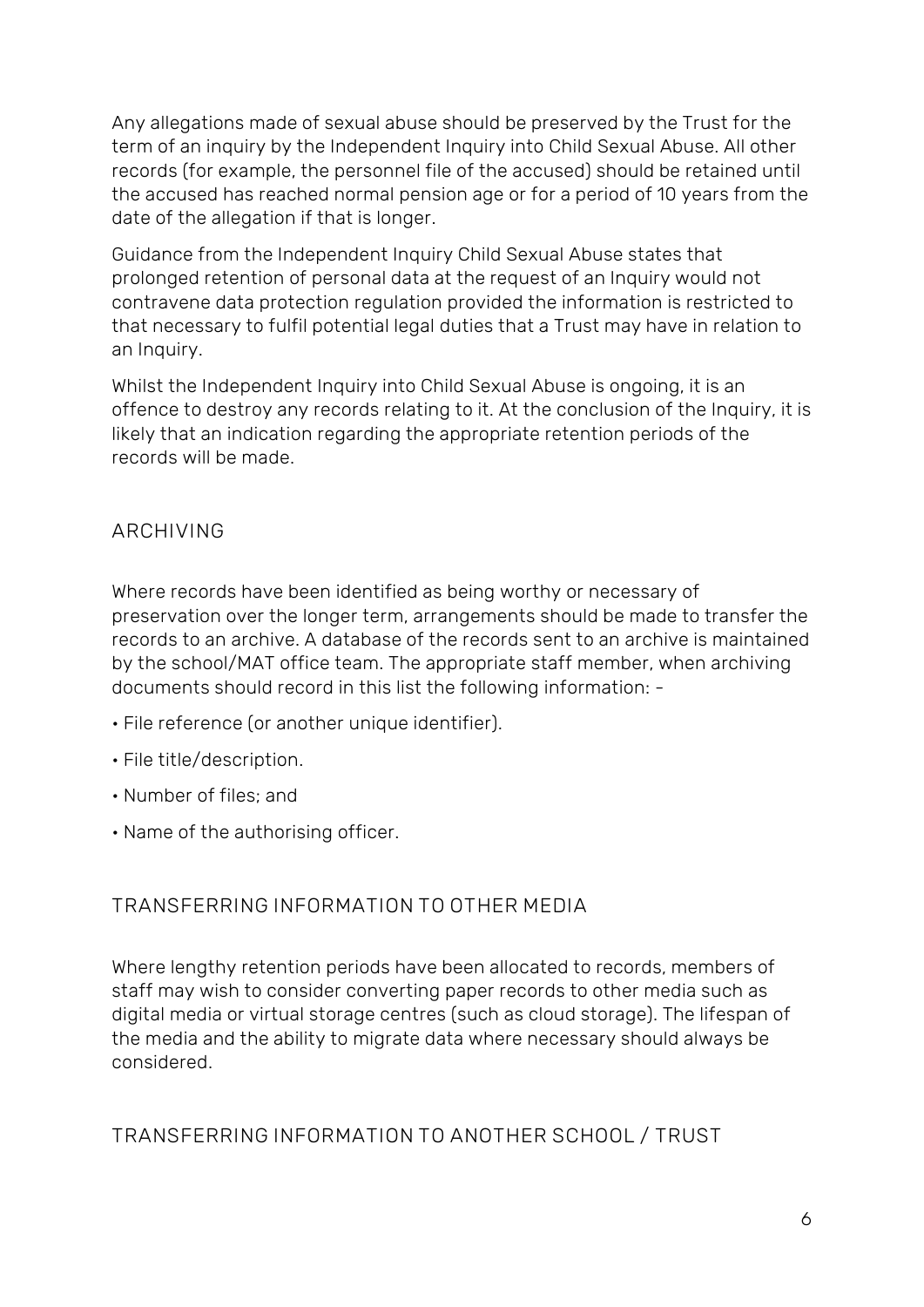Any allegations made of sexual abuse should be preserved by the Trust for the term of an inquiry by the Independent Inquiry into Child Sexual Abuse. All other records (for example, the personnel file of the accused) should be retained until the accused has reached normal pension age or for a period of 10 years from the date of the allegation if that is longer.

Guidance from the Independent Inquiry Child Sexual Abuse states that prolonged retention of personal data at the request of an Inquiry would not contravene data protection regulation provided the information is restricted to that necessary to fulfil potential legal duties that a Trust may have in relation to an Inquiry.

Whilst the Independent Inquiry into Child Sexual Abuse is ongoing, it is an offence to destroy any records relating to it. At the conclusion of the Inquiry, it is likely that an indication regarding the appropriate retention periods of the records will be made.

## <span id="page-5-0"></span>**ARCHIVING**

Where records have been identified as being worthy or necessary of preservation over the longer term, arrangements should be made to transfer the records to an archive. A database of the records sent to an archive is maintained by the school/MAT office team. The appropriate staff member, when archiving documents should record in this list the following information: -

- File reference (or another unique identifier).
- File title/description.
- Number of files; and
- Name of the authorising officer.

## <span id="page-5-1"></span>**TRANSFERRING INFORMATION TO OTHER MEDIA**

Where lengthy retention periods have been allocated to records, members of staff may wish to consider converting paper records to other media such as digital media or virtual storage centres (such as cloud storage). The lifespan of the media and the ability to migrate data where necessary should always be considered.

## <span id="page-5-2"></span>**TRANSFERRING INFORMATION TO ANOTHER SCHOOL / TRUST**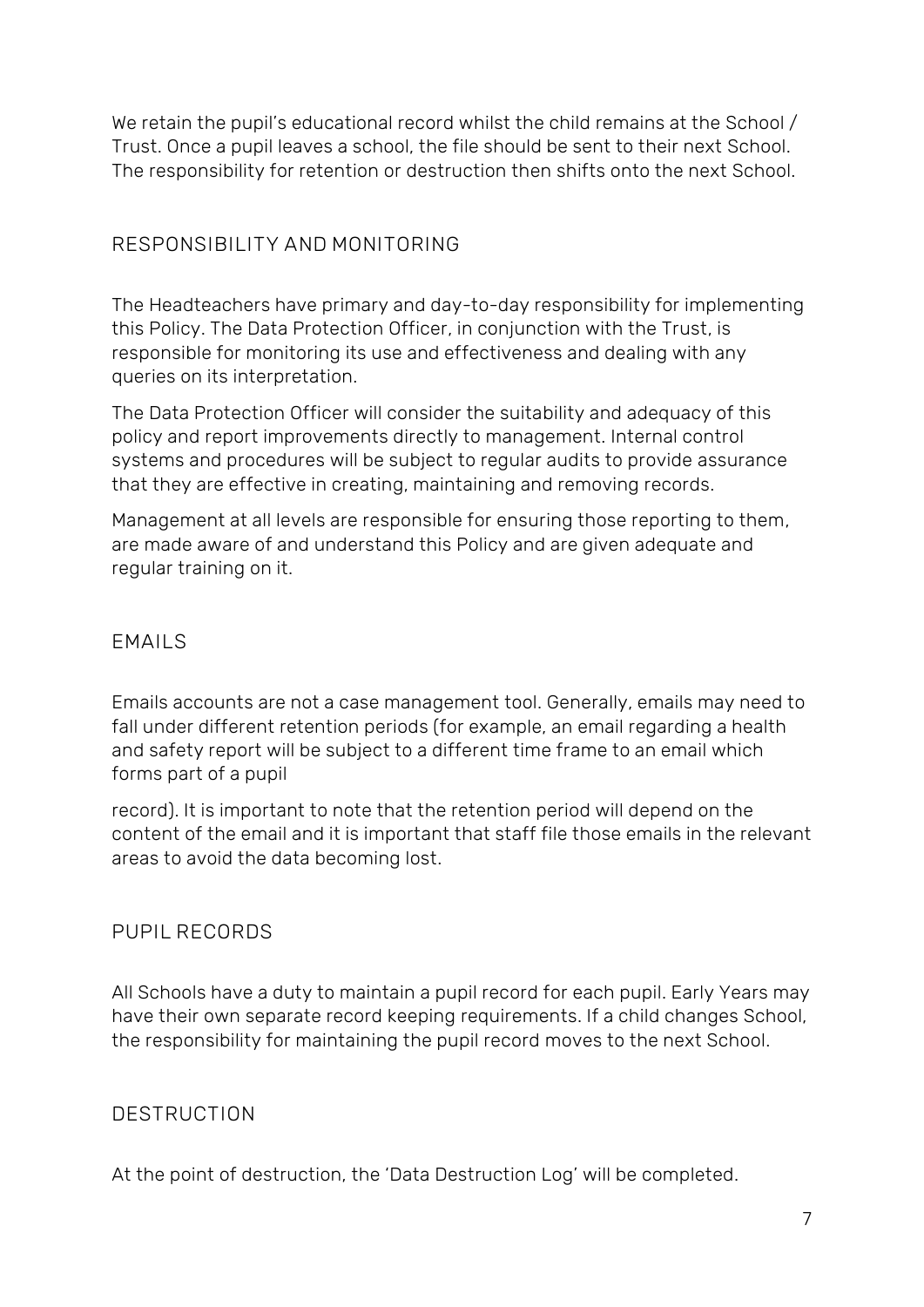We retain the pupil's educational record whilst the child remains at the School / Trust. Once a pupil leaves a school, the file should be sent to their next School. The responsibility for retention or destruction then shifts onto the next School.

# <span id="page-6-0"></span>**RESPONSIBILITY AND MONITORING**

The Headteachers have primary and day-to-day responsibility for implementing this Policy. The Data Protection Officer, in conjunction with the Trust, is responsible for monitoring its use and effectiveness and dealing with any queries on its interpretation.

The Data Protection Officer will consider the suitability and adequacy of this policy and report improvements directly to management. Internal control systems and procedures will be subject to regular audits to provide assurance that they are effective in creating, maintaining and removing records.

Management at all levels are responsible for ensuring those reporting to them, are made aware of and understand this Policy and are given adequate and regular training on it.

### <span id="page-6-1"></span>**EMAILS**

Emails accounts are not a case management tool. Generally, emails may need to fall under different retention periods (for example, an email regarding a health and safety report will be subject to a different time frame to an email which forms part of a pupil

record). It is important to note that the retention period will depend on the content of the email and it is important that staff file those emails in the relevant areas to avoid the data becoming lost.

## <span id="page-6-2"></span>**PUPIL RECORDS**

All Schools have a duty to maintain a pupil record for each pupil. Early Years may have their own separate record keeping requirements. If a child changes School, the responsibility for maintaining the pupil record moves to the next School.

## <span id="page-6-3"></span>**DESTRUCTION**

At the point of destruction, the 'Data Destruction Log' will be completed.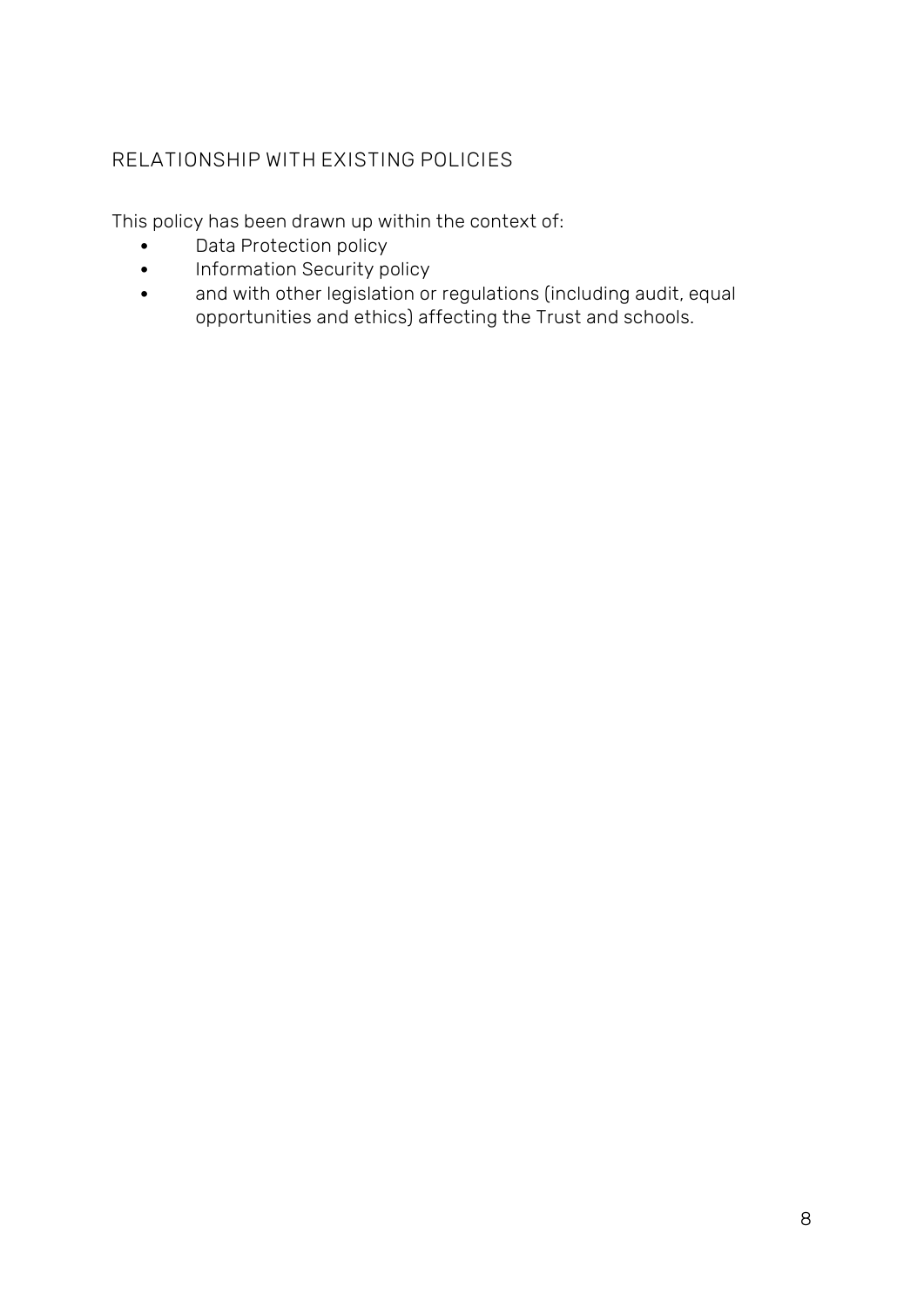# <span id="page-7-0"></span>**RELATIONSHIP WITH EXISTING POLICIES**

This policy has been drawn up within the context of:

- Data Protection policy
- Information Security policy
- and with other legislation or regulations (including audit, equal opportunities and ethics) affecting the Trust and schools.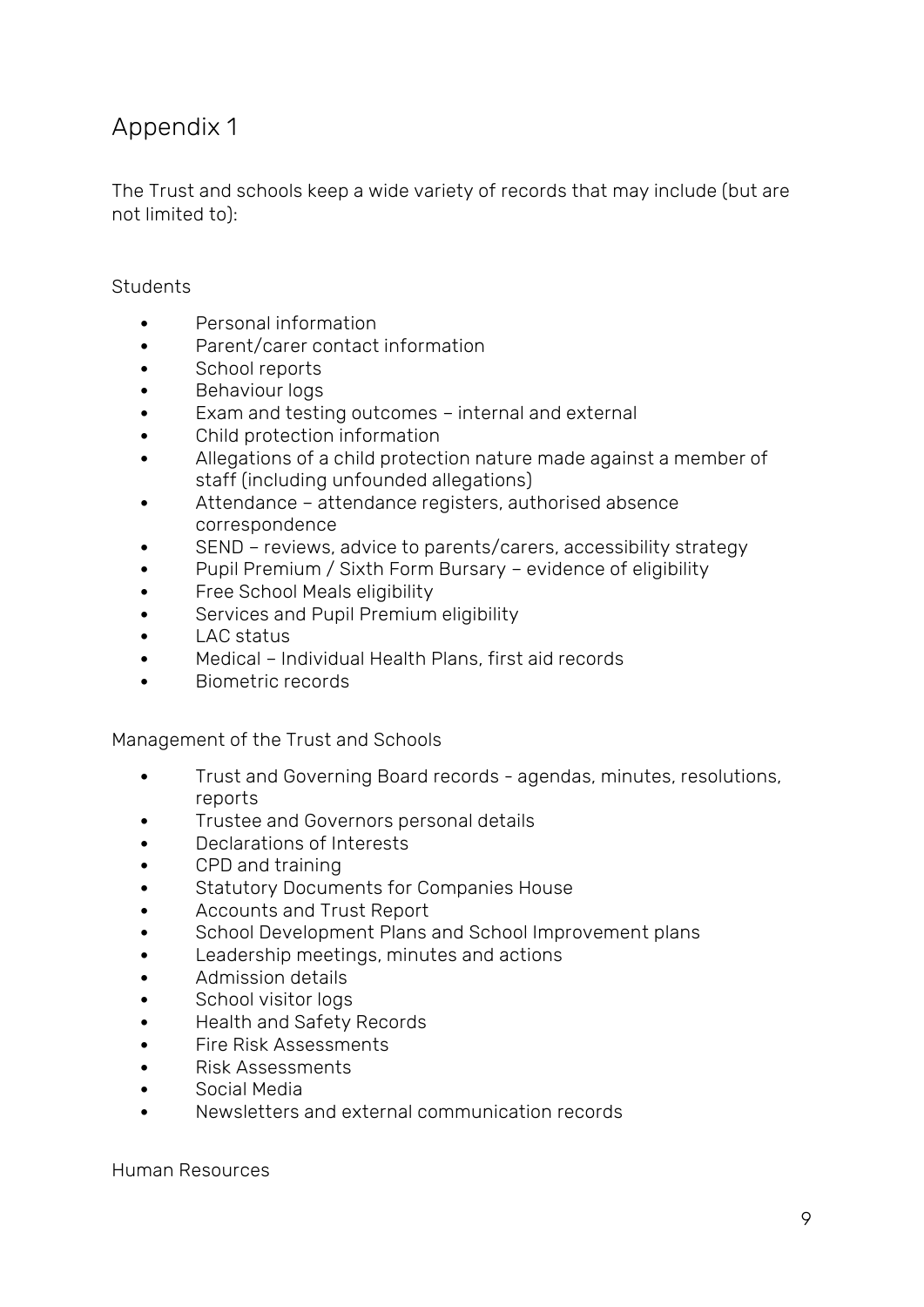# <span id="page-8-0"></span>Appendix 1

The Trust and schools keep a wide variety of records that may include (but are not limited to):

#### Students

- Personal information
- Parent/carer contact information
- School reports
- Behaviour logs
- Exam and testing outcomes internal and external
- Child protection information
- Allegations of a child protection nature made against a member of staff (including unfounded allegations)
- Attendance attendance registers, authorised absence correspondence
- SEND reviews, advice to parents/carers, accessibility strategy
- Pupil Premium / Sixth Form Bursary evidence of eligibility
- Free School Meals eligibility
- Services and Pupil Premium eligibility
- LAC status
- Medical Individual Health Plans, first aid records
- Biometric records

Management of the Trust and Schools

- Trust and Governing Board records agendas, minutes, resolutions, reports
- Trustee and Governors personal details
- Declarations of Interests
- CPD and training
- Statutory Documents for Companies House
- Accounts and Trust Report
- School Development Plans and School Improvement plans
- Leadership meetings, minutes and actions
- Admission details
- School visitor logs
- Health and Safety Records
- Fire Risk Assessments
- Risk Assessments
- Social Media
- Newsletters and external communication records

Human Resources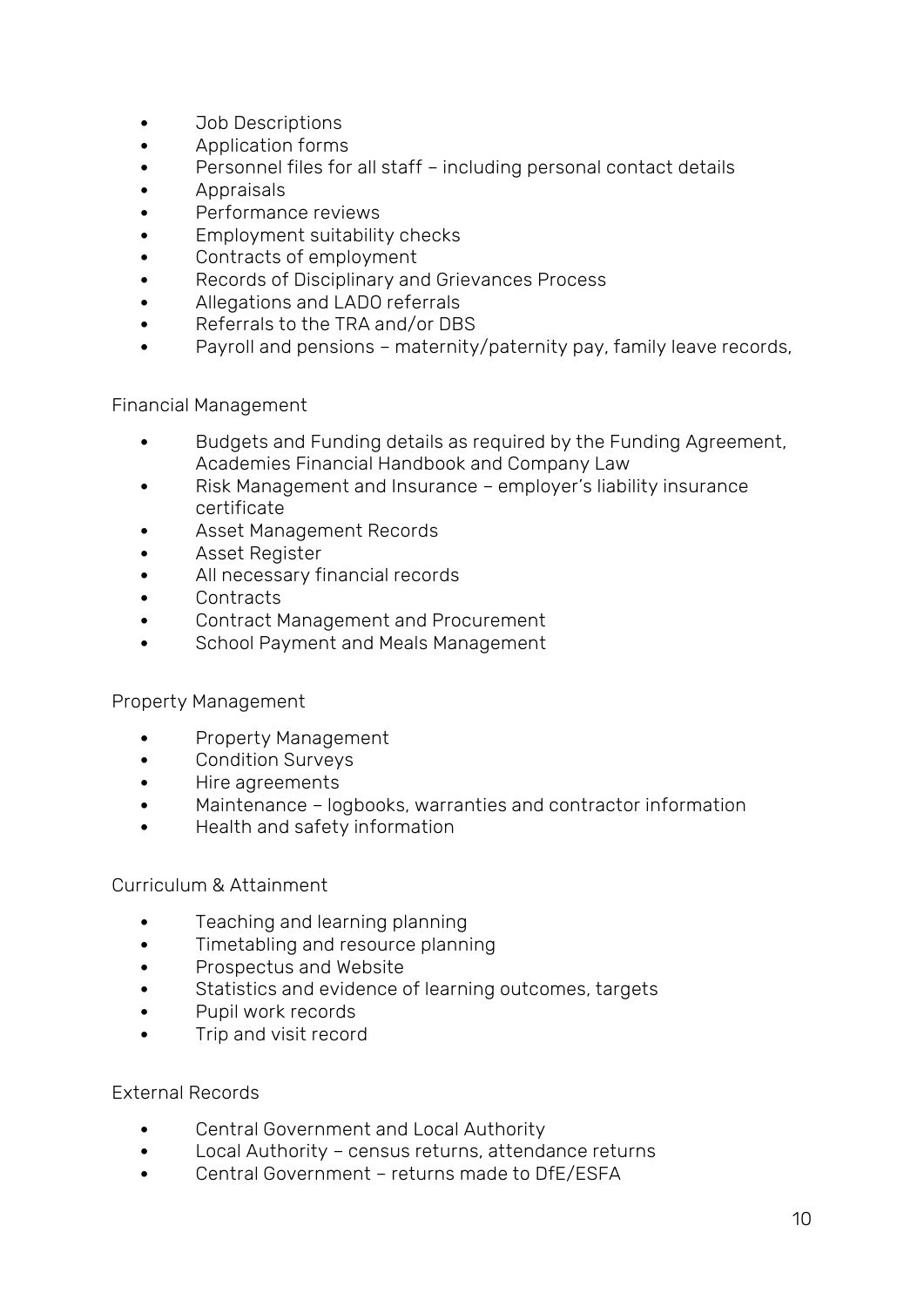- Job Descriptions
- Application forms
- Personnel files for all staff including personal contact details
- Appraisals
- Performance reviews
- Employment suitability checks
- Contracts of employment
- Records of Disciplinary and Grievances Process
- Allegations and LADO referrals
- Referrals to the TRA and/or DBS
- Payroll and pensions maternity/paternity pay, family leave records,

Financial Management

- Budgets and Funding details as required by the Funding Agreement, Academies Financial Handbook and Company Law
- Risk Management and Insurance employer's liability insurance certificate
- Asset Management Records
- Asset Register
- All necessary financial records
- Contracts
- Contract Management and Procurement
- School Payment and Meals Management

#### Property Management

- Property Management
- Condition Surveys
- Hire agreements
- Maintenance logbooks, warranties and contractor information
- Health and safety information

Curriculum & Attainment

- Teaching and learning planning
- Timetabling and resource planning
- Prospectus and Website
- Statistics and evidence of learning outcomes, targets
- Pupil work records
- Trip and visit record

External Records

- Central Government and Local Authority
- Local Authority census returns, attendance returns
- Central Government returns made to DfE/ESFA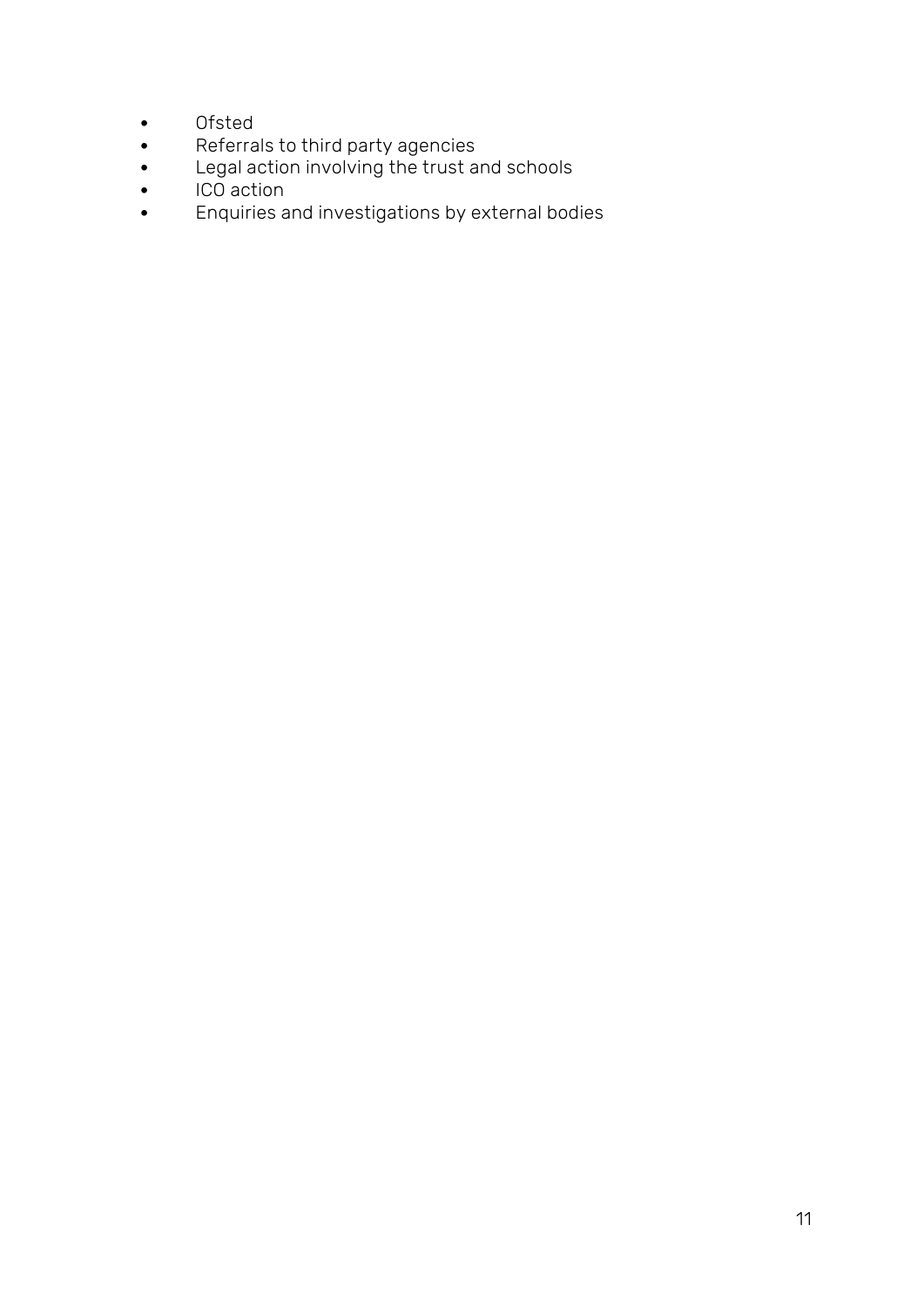- Ofsted
- Referrals to third party agencies
- Legal action involving the trust and schools
- ICO action
- Enquiries and investigations by external bodies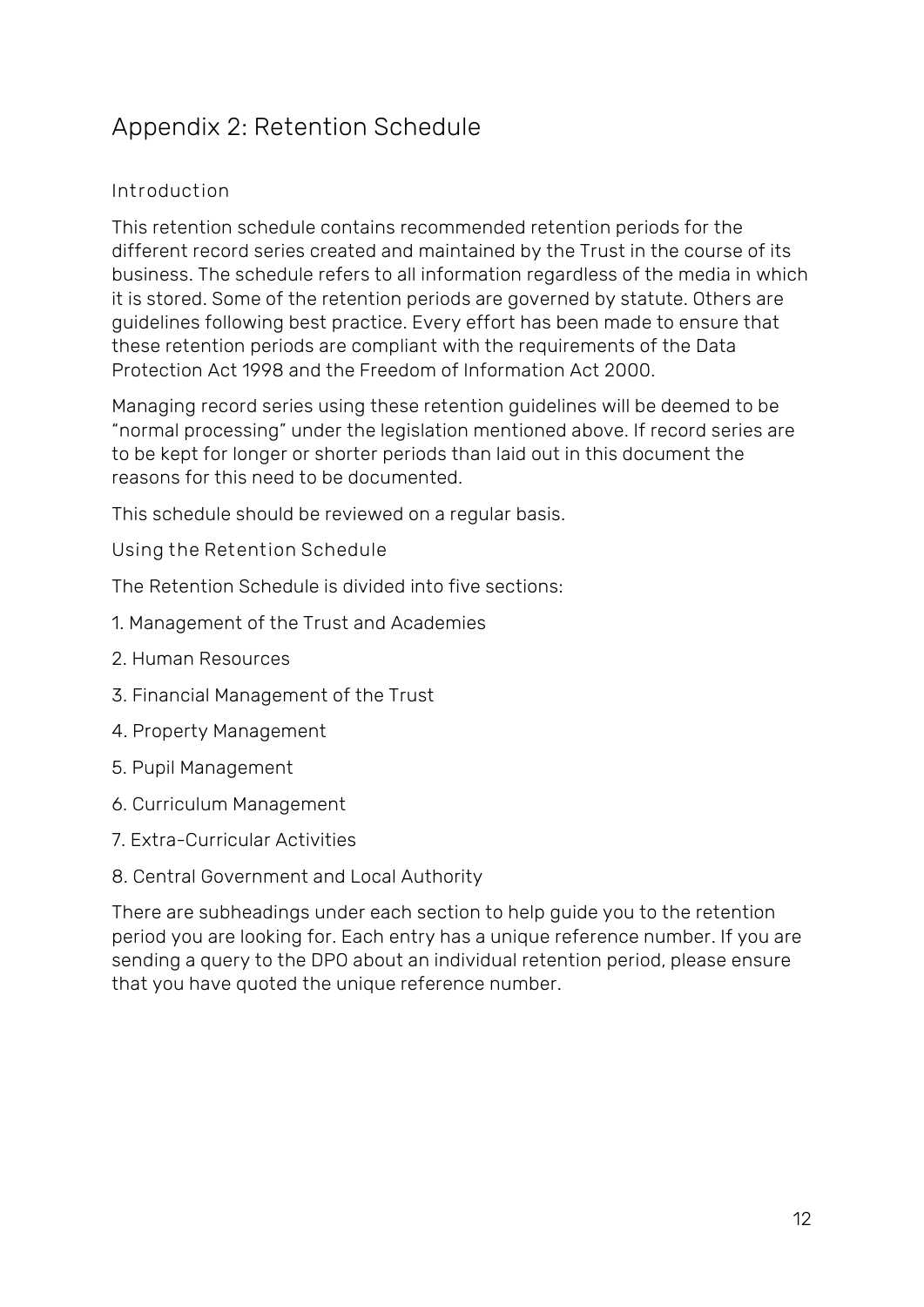# <span id="page-11-0"></span>Appendix 2: Retention Schedule

### **Introduction**

This retention schedule contains recommended retention periods for the different record series created and maintained by the Trust in the course of its business. The schedule refers to all information regardless of the media in which it is stored. Some of the retention periods are governed by statute. Others are guidelines following best practice. Every effort has been made to ensure that these retention periods are compliant with the requirements of the Data Protection Act 1998 and the Freedom of Information Act 2000.

Managing record series using these retention guidelines will be deemed to be "normal processing" under the legislation mentioned above. If record series are to be kept for longer or shorter periods than laid out in this document the reasons for this need to be documented.

This schedule should be reviewed on a regular basis.

**Using the Retention Schedule** 

The Retention Schedule is divided into five sections:

- 1. Management of the Trust and Academies
- 2. Human Resources
- 3. Financial Management of the Trust
- 4. Property Management
- 5. Pupil Management
- 6. Curriculum Management
- 7. Extra-Curricular Activities
- 8. Central Government and Local Authority

There are subheadings under each section to help guide you to the retention period you are looking for. Each entry has a unique reference number. If you are sending a query to the DPO about an individual retention period, please ensure that you have quoted the unique reference number.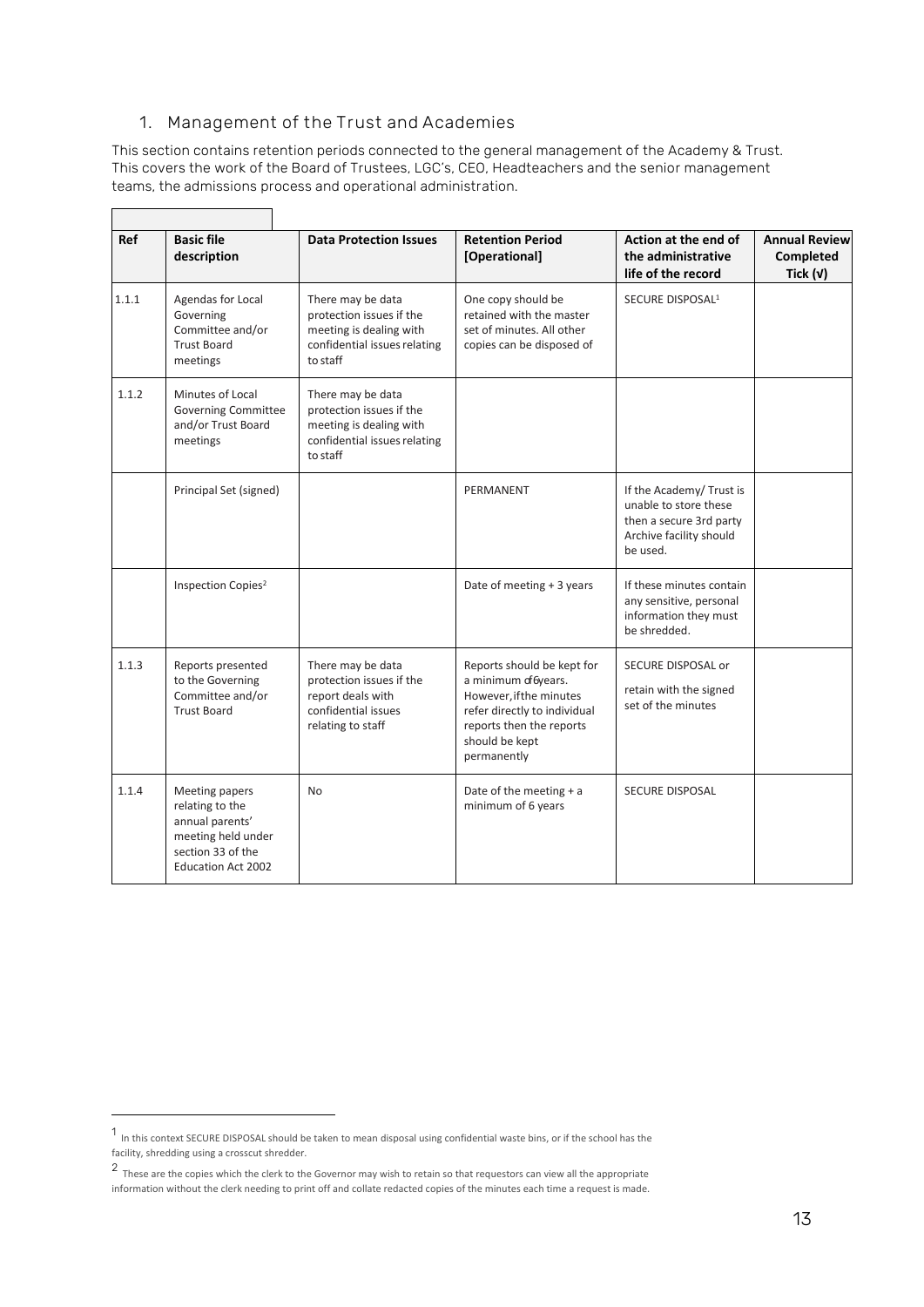#### **1. Management of the Trust and Academies**

 $\overline{\phantom{a}}$ 

 $\Gamma$ 

This section contains retention periods connected to the general management of the Academy & Trust. This covers the work of the Board of Trustees, LGC's, CEO, Headteachers and the senior management teams, the admissions process and operational administration.

| Ref   | <b>Basic file</b><br>description                                                                                             | <b>Data Protection Issues</b>                                                                                        | <b>Retention Period</b><br>[Operational]                                                                                                                                   | Action at the end of<br>the administrative<br>life of the record                                                   | <b>Annual Review</b><br><b>Completed</b><br>Tick $(v)$ |
|-------|------------------------------------------------------------------------------------------------------------------------------|----------------------------------------------------------------------------------------------------------------------|----------------------------------------------------------------------------------------------------------------------------------------------------------------------------|--------------------------------------------------------------------------------------------------------------------|--------------------------------------------------------|
| 1.1.1 | Agendas for Local<br>Governing<br>Committee and/or<br><b>Trust Board</b><br>meetings                                         | There may be data<br>protection issues if the<br>meeting is dealing with<br>confidential issues relating<br>to staff | One copy should be<br>retained with the master<br>set of minutes. All other<br>copies can be disposed of                                                                   | SECURE DISPOSAL <sup>1</sup>                                                                                       |                                                        |
| 1.1.2 | Minutes of Local<br><b>Governing Committee</b><br>and/or Trust Board<br>meetings                                             | There may be data<br>protection issues if the<br>meeting is dealing with<br>confidential issues relating<br>to staff |                                                                                                                                                                            |                                                                                                                    |                                                        |
|       | Principal Set (signed)                                                                                                       |                                                                                                                      | PERMANENT                                                                                                                                                                  | If the Academy/Trust is<br>unable to store these<br>then a secure 3rd party<br>Archive facility should<br>be used. |                                                        |
|       | Inspection Copies <sup>2</sup>                                                                                               |                                                                                                                      | Date of meeting + 3 years                                                                                                                                                  | If these minutes contain<br>any sensitive, personal<br>information they must<br>be shredded.                       |                                                        |
| 1.1.3 | Reports presented<br>to the Governing<br>Committee and/or<br><b>Trust Board</b>                                              | There may be data<br>protection issues if the<br>report deals with<br>confidential issues<br>relating to staff       | Reports should be kept for<br>a minimum of 6years.<br>However, if the minutes<br>refer directly to individual<br>reports then the reports<br>should be kept<br>permanently | SECURE DISPOSAL or<br>retain with the signed<br>set of the minutes                                                 |                                                        |
| 1.1.4 | Meeting papers<br>relating to the<br>annual parents'<br>meeting held under<br>section 33 of the<br><b>Education Act 2002</b> | <b>No</b>                                                                                                            | Date of the meeting $+ a$<br>minimum of 6 years                                                                                                                            | <b>SECURE DISPOSAL</b>                                                                                             |                                                        |

<sup>1</sup> In this context SECURE DISPOSAL should be taken to mean disposal using confidential waste bins, or if the school has the facility, shredding using a crosscut shredder.

<sup>2</sup> These are the copies which the clerk to the Governor may wish to retain so that requestors can view all the appropriate information without the clerk needing to print off and collate redacted copies of the minutes each time a request is made.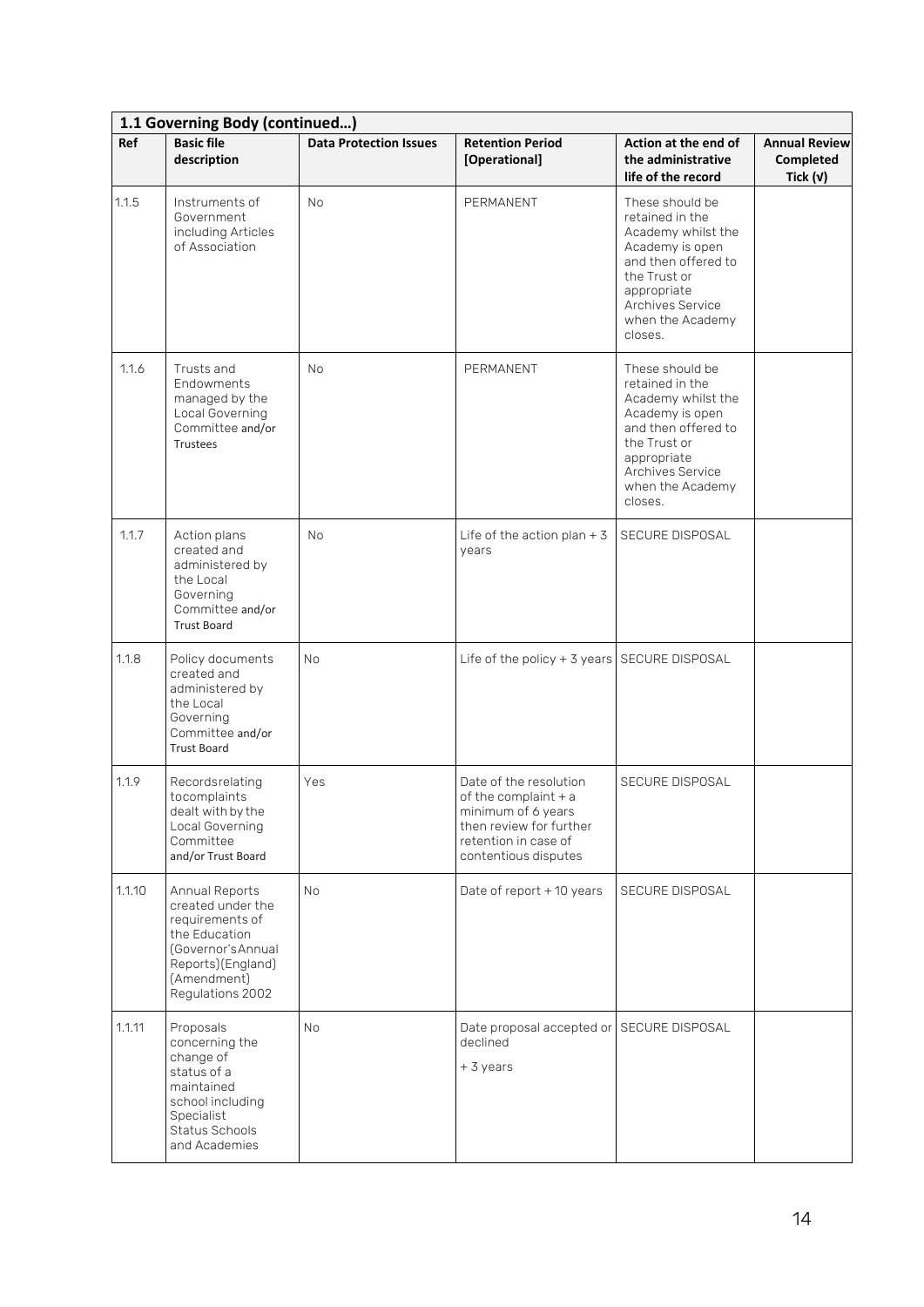|        | 1.1 Governing Body (continued)                                                                                                                        |                               |                                                                                                                                                   |                                                                                                                                                                                      |                                                        |  |  |
|--------|-------------------------------------------------------------------------------------------------------------------------------------------------------|-------------------------------|---------------------------------------------------------------------------------------------------------------------------------------------------|--------------------------------------------------------------------------------------------------------------------------------------------------------------------------------------|--------------------------------------------------------|--|--|
| Ref    | <b>Basic file</b><br>description                                                                                                                      | <b>Data Protection Issues</b> | <b>Retention Period</b><br>[Operational]                                                                                                          | Action at the end of<br>the administrative<br>life of the record                                                                                                                     | <b>Annual Review</b><br><b>Completed</b><br>Tick $(v)$ |  |  |
| 1.1.5  | Instruments of<br>Government<br>including Articles<br>of Association                                                                                  | <b>No</b>                     | PERMANENT                                                                                                                                         | These should be<br>retained in the<br>Academy whilst the<br>Academy is open<br>and then offered to<br>the Trust or<br>appropriate<br>Archives Service<br>when the Academy<br>closes. |                                                        |  |  |
| 1.1.6  | Trusts and<br>Endowments<br>managed by the<br>Local Governing<br>Committee and/or<br><b>Trustees</b>                                                  | <b>No</b>                     | PERMANENT                                                                                                                                         | These should be<br>retained in the<br>Academy whilst the<br>Academy is open<br>and then offered to<br>the Trust or<br>appropriate<br>Archives Service<br>when the Academy<br>closes. |                                                        |  |  |
| 1.1.7  | Action plans<br>created and<br>administered by<br>the Local<br>Governing<br>Committee and/or<br><b>Trust Board</b>                                    | <b>No</b>                     | Life of the action plan $+3$<br>years                                                                                                             | SECURE DISPOSAL                                                                                                                                                                      |                                                        |  |  |
| 1.1.8  | Policy documents<br>created and<br>administered by<br>the Local<br>Governing<br>Committee and/or<br><b>Trust Board</b>                                | <b>No</b>                     | Life of the policy $+$ 3 years SECURE DISPOSAL                                                                                                    |                                                                                                                                                                                      |                                                        |  |  |
| 1.1.9  | Recordsrelating<br>tocomplaints<br>dealt with by the<br>Local Governing<br>Committee<br>and/or Trust Board                                            | Yes                           | Date of the resolution<br>of the complaint $+$ a<br>minimum of 6 years<br>then review for further<br>retention in case of<br>contentious disputes | SECURE DISPOSAL                                                                                                                                                                      |                                                        |  |  |
| 1.1.10 | Annual Reports<br>created under the<br>requirements of<br>the Education<br>(Governor's Annual<br>Reports)(England)<br>(Amendment)<br>Regulations 2002 | <b>No</b>                     | Date of report + 10 years                                                                                                                         | SECURE DISPOSAL                                                                                                                                                                      |                                                        |  |  |
| 1.1.11 | Proposals<br>concerning the<br>change of<br>status of a<br>maintained<br>school including<br>Specialist<br>Status Schools<br>and Academies            | <b>No</b>                     | Date proposal accepted or SECURE DISPOSAL<br>declined<br>+3 years                                                                                 |                                                                                                                                                                                      |                                                        |  |  |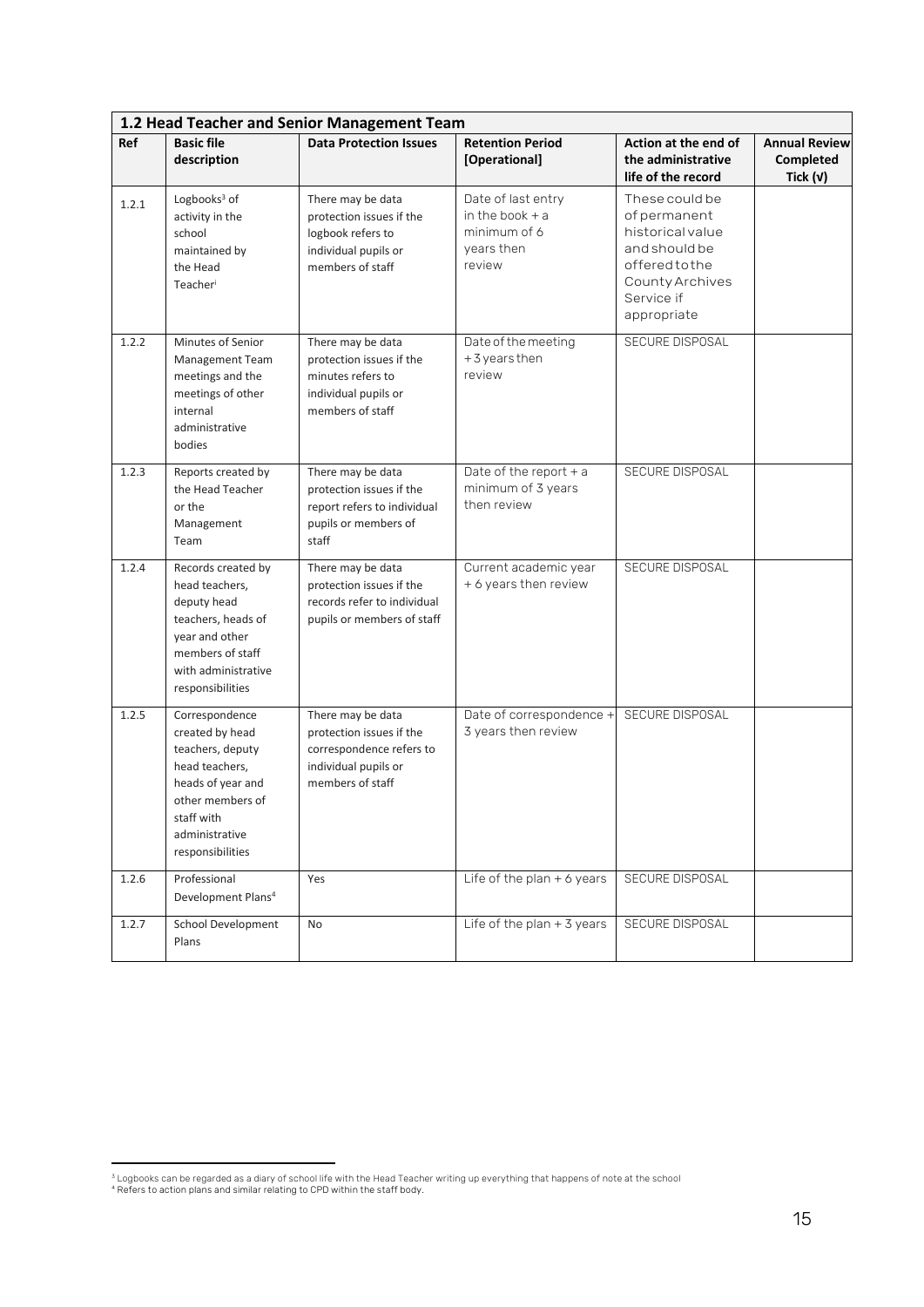|       | 1.2 Head Teacher and Senior Management Team                                                                                                                          |                                                                                                                       |                                                                                 |                                                                                                                                     |                                                 |  |  |
|-------|----------------------------------------------------------------------------------------------------------------------------------------------------------------------|-----------------------------------------------------------------------------------------------------------------------|---------------------------------------------------------------------------------|-------------------------------------------------------------------------------------------------------------------------------------|-------------------------------------------------|--|--|
| Ref   | <b>Basic file</b><br>description                                                                                                                                     | <b>Data Protection Issues</b>                                                                                         | <b>Retention Period</b><br>[Operational]                                        | Action at the end of<br>the administrative<br>life of the record                                                                    | <b>Annual Review</b><br>Completed<br>Tick $(v)$ |  |  |
| 1.2.1 | Logbooks <sup>3</sup> of<br>activity in the<br>school<br>maintained by<br>the Head<br>Teacher                                                                        | There may be data<br>protection issues if the<br>logbook refers to<br>individual pupils or<br>members of staff        | Date of last entry<br>in the book $+$ a<br>minimum of 6<br>years then<br>review | These could be<br>of permanent<br>historical value<br>and should be<br>offeredtothe<br>County Archives<br>Service if<br>appropriate |                                                 |  |  |
| 1.2.2 | Minutes of Senior<br>Management Team<br>meetings and the<br>meetings of other<br>internal<br>administrative<br>bodies                                                | There may be data<br>protection issues if the<br>minutes refers to<br>individual pupils or<br>members of staff        | Date of the meeting<br>+3 years then<br>review                                  | SECURE DISPOSAL                                                                                                                     |                                                 |  |  |
| 1.2.3 | Reports created by<br>the Head Teacher<br>or the<br>Management<br>Team                                                                                               | There may be data<br>protection issues if the<br>report refers to individual<br>pupils or members of<br>staff         | Date of the report $+a$<br>minimum of 3 years<br>then review                    | <b>SECURE DISPOSAL</b>                                                                                                              |                                                 |  |  |
| 1.2.4 | Records created by<br>head teachers,<br>deputy head<br>teachers, heads of<br>year and other<br>members of staff<br>with administrative<br>responsibilities           | There may be data<br>protection issues if the<br>records refer to individual<br>pupils or members of staff            | Current academic year<br>+ 6 years then review                                  | SECURE DISPOSAL                                                                                                                     |                                                 |  |  |
| 1.2.5 | Correspondence<br>created by head<br>teachers, deputy<br>head teachers,<br>heads of year and<br>other members of<br>staff with<br>administrative<br>responsibilities | There may be data<br>protection issues if the<br>correspondence refers to<br>individual pupils or<br>members of staff | Date of correspondence +<br>3 years then review                                 | SECURE DISPOSAL                                                                                                                     |                                                 |  |  |
| 1.2.6 | Professional<br>Development Plans <sup>4</sup>                                                                                                                       | Yes                                                                                                                   | Life of the plan $+$ 6 years                                                    | SECURE DISPOSAL                                                                                                                     |                                                 |  |  |
| 1.2.7 | School Development<br>Plans                                                                                                                                          | No                                                                                                                    | Life of the plan $+$ 3 years                                                    | SECURE DISPOSAL                                                                                                                     |                                                 |  |  |

<sup>&</sup>lt;sup>3</sup> Logbooks can be regarded as a diary of school life with the Head Teacher writing up everything that happens of note at the school<br><sup>4</sup> Refers to action plans and similar relating to CPD within the staff body.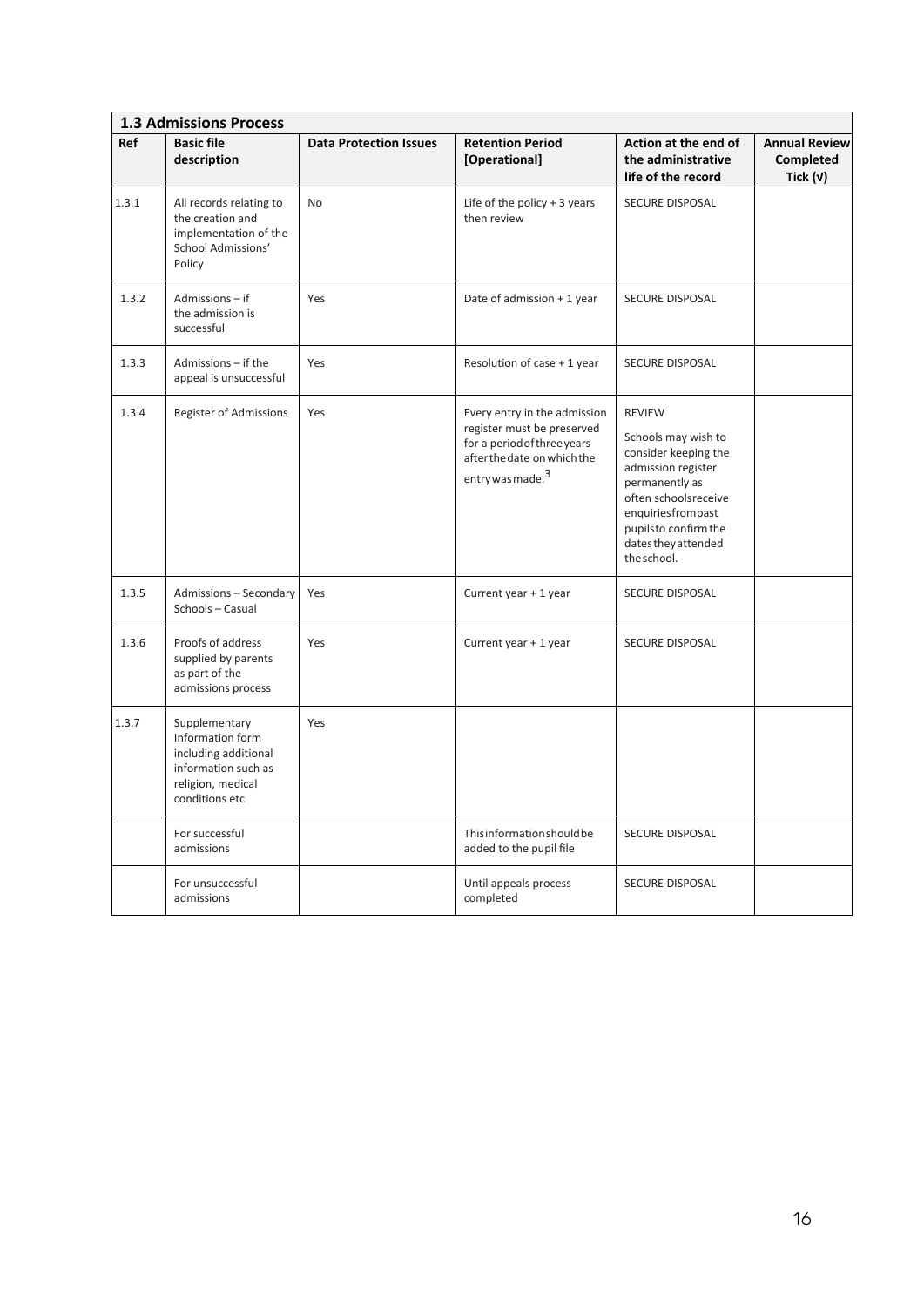|       | <b>1.3 Admissions Process</b>                                                                                           |                               |                                                                                                                                                          |                                                                                                                                                                                                                 |                                                 |  |  |  |
|-------|-------------------------------------------------------------------------------------------------------------------------|-------------------------------|----------------------------------------------------------------------------------------------------------------------------------------------------------|-----------------------------------------------------------------------------------------------------------------------------------------------------------------------------------------------------------------|-------------------------------------------------|--|--|--|
| Ref   | <b>Basic file</b><br>description                                                                                        | <b>Data Protection Issues</b> | <b>Retention Period</b><br>[Operational]                                                                                                                 | Action at the end of<br>the administrative<br>life of the record                                                                                                                                                | <b>Annual Review</b><br>Completed<br>Tick $(v)$ |  |  |  |
| 1.3.1 | All records relating to<br>the creation and<br>implementation of the<br>School Admissions'<br>Policy                    | No                            | Life of the policy $+3$ years<br>then review                                                                                                             | SECURE DISPOSAL                                                                                                                                                                                                 |                                                 |  |  |  |
| 1.3.2 | Admissions - if<br>the admission is<br>successful                                                                       | Yes                           | Date of admission + 1 year                                                                                                                               | SECURE DISPOSAL                                                                                                                                                                                                 |                                                 |  |  |  |
| 1.3.3 | Admissions - if the<br>appeal is unsuccessful                                                                           | Yes                           | Resolution of case + 1 year                                                                                                                              | SECURE DISPOSAL                                                                                                                                                                                                 |                                                 |  |  |  |
| 1.3.4 | Register of Admissions                                                                                                  | Yes                           | Every entry in the admission<br>register must be preserved<br>for a period of three years<br>after the date on which the<br>entry was made. <sup>3</sup> | <b>REVIEW</b><br>Schools may wish to<br>consider keeping the<br>admission register<br>permanently as<br>often schoolsreceive<br>enquiriesfrompast<br>pupilsto confirm the<br>dates they attended<br>the school. |                                                 |  |  |  |
| 1.3.5 | Admissions - Secondary<br>Schools - Casual                                                                              | Yes                           | Current year + 1 year                                                                                                                                    | SECURE DISPOSAL                                                                                                                                                                                                 |                                                 |  |  |  |
| 1.3.6 | Proofs of address<br>supplied by parents<br>as part of the<br>admissions process                                        | Yes                           | Current year + 1 year                                                                                                                                    | SECURE DISPOSAL                                                                                                                                                                                                 |                                                 |  |  |  |
| 1.3.7 | Supplementary<br>Information form<br>including additional<br>information such as<br>religion, medical<br>conditions etc | Yes                           |                                                                                                                                                          |                                                                                                                                                                                                                 |                                                 |  |  |  |
|       | For successful<br>admissions                                                                                            |                               | Thisinformation should be<br>added to the pupil file                                                                                                     | SECURE DISPOSAL                                                                                                                                                                                                 |                                                 |  |  |  |
|       | For unsuccessful<br>admissions                                                                                          |                               | Until appeals process<br>completed                                                                                                                       | SECURE DISPOSAL                                                                                                                                                                                                 |                                                 |  |  |  |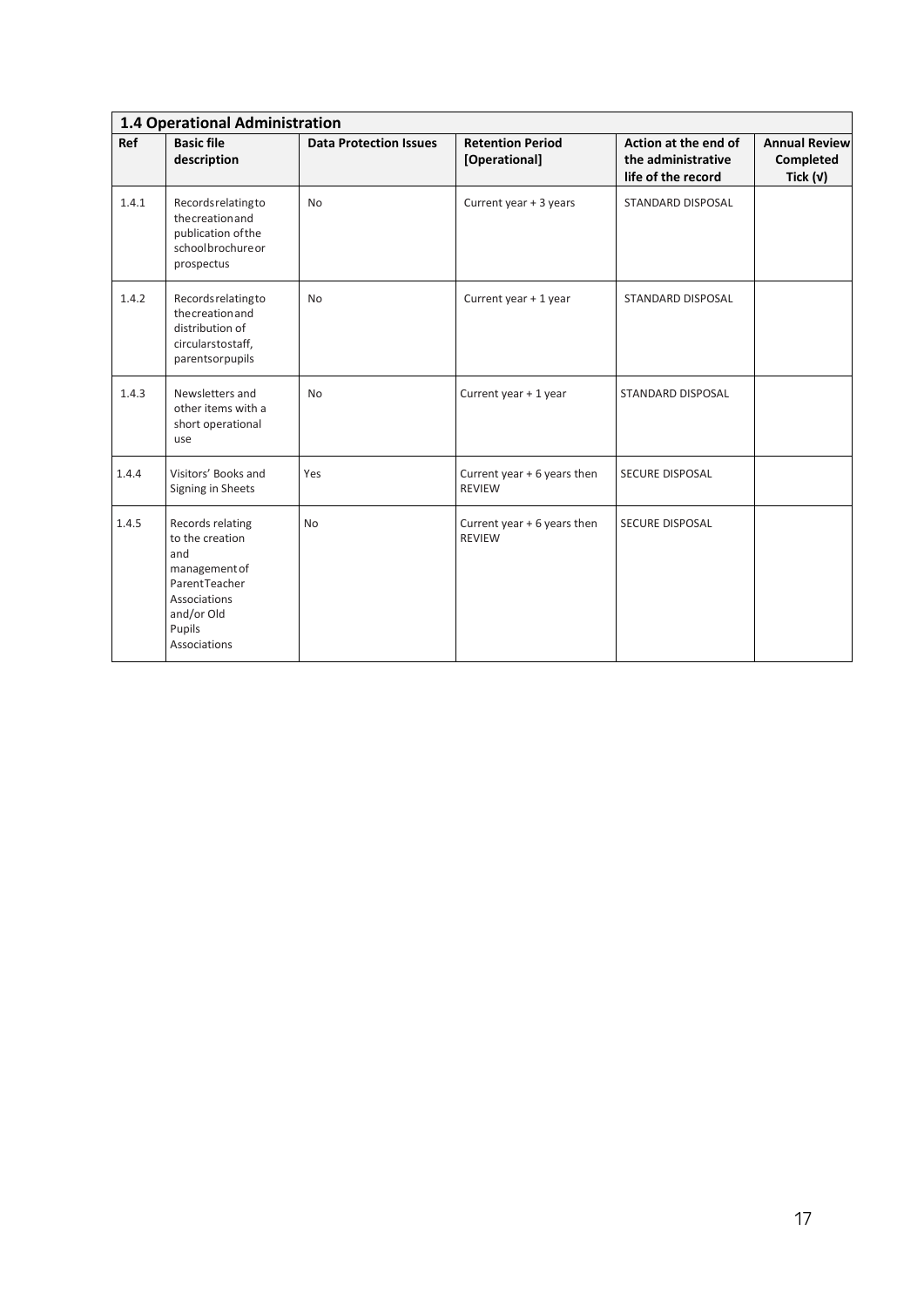|       | 1.4 Operational Administration                                                                                                              |                               |                                              |                                                                  |                                                 |  |  |
|-------|---------------------------------------------------------------------------------------------------------------------------------------------|-------------------------------|----------------------------------------------|------------------------------------------------------------------|-------------------------------------------------|--|--|
| Ref   | <b>Basic file</b><br>description                                                                                                            | <b>Data Protection Issues</b> | <b>Retention Period</b><br>[Operational]     | Action at the end of<br>the administrative<br>life of the record | <b>Annual Review</b><br>Completed<br>Tick $(v)$ |  |  |
| 1.4.1 | Recordsrelatingto<br>the creation and<br>publication of the<br>schoolbrochureor<br>prospectus                                               | <b>No</b>                     | Current year + 3 years                       | STANDARD DISPOSAL                                                |                                                 |  |  |
| 1.4.2 | Records relating to<br>the creation and<br>distribution of<br>circularstostaff,<br>parentsorpupils                                          | <b>No</b>                     | Current year + 1 year                        | STANDARD DISPOSAL                                                |                                                 |  |  |
| 1.4.3 | Newsletters and<br>other items with a<br>short operational<br>use                                                                           | <b>No</b>                     | Current year + 1 year                        | <b>STANDARD DISPOSAL</b>                                         |                                                 |  |  |
| 1.4.4 | Visitors' Books and<br>Signing in Sheets                                                                                                    | Yes                           | Current year + 6 years then<br><b>REVIEW</b> | <b>SECURE DISPOSAL</b>                                           |                                                 |  |  |
| 1.4.5 | Records relating<br>to the creation<br>and<br>management of<br>ParentTeacher<br><b>Associations</b><br>and/or Old<br>Pupils<br>Associations | No                            | Current year + 6 years then<br><b>REVIEW</b> | SECURE DISPOSAL                                                  |                                                 |  |  |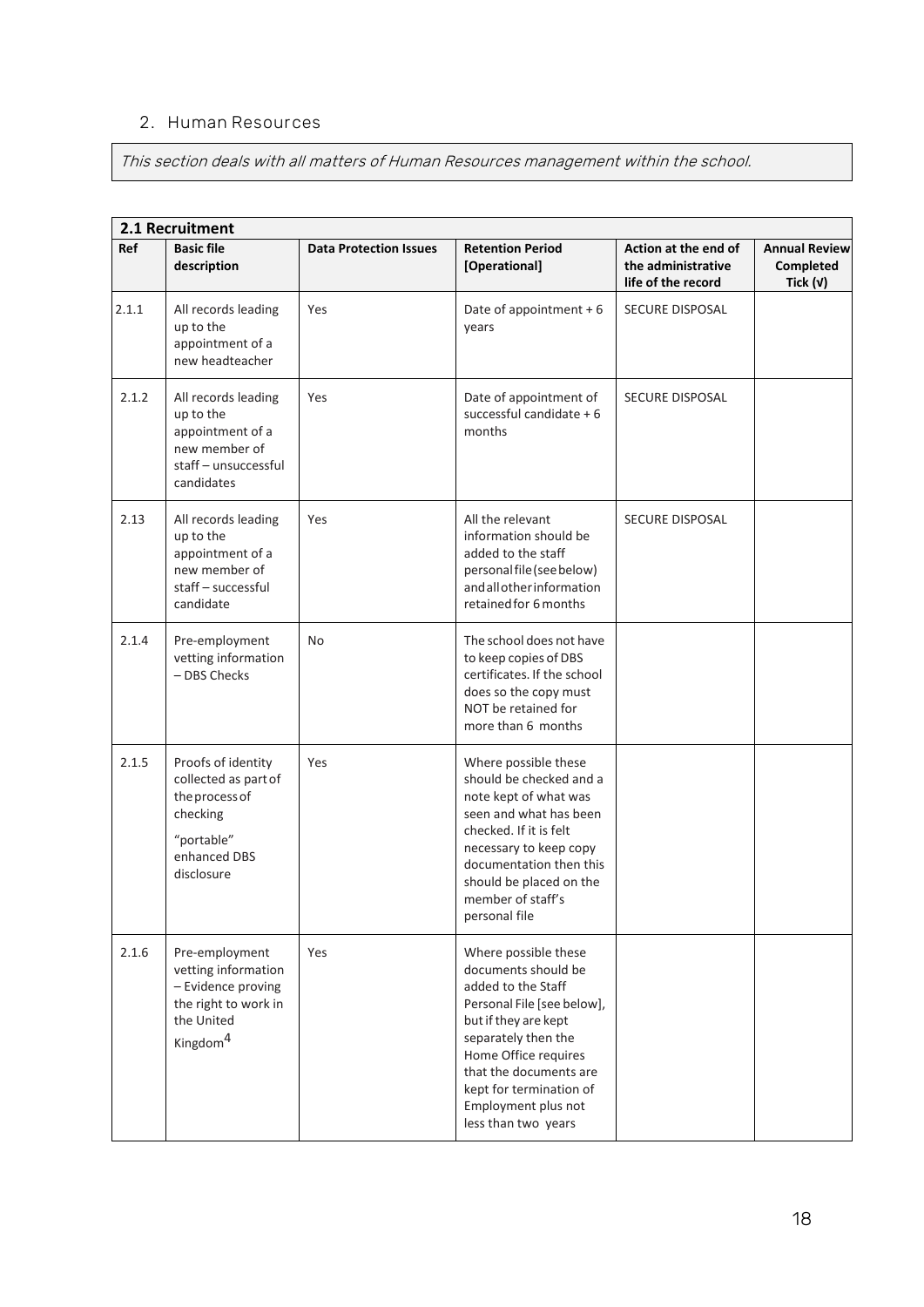#### **2. Human Resources**

This section deals with all matters of Human Resources management within the school.

|       | 2.1 Recruitment                                                                                                           |                               |                                                                                                                                                                                                                                                                           |                                                                  |                                                 |  |  |
|-------|---------------------------------------------------------------------------------------------------------------------------|-------------------------------|---------------------------------------------------------------------------------------------------------------------------------------------------------------------------------------------------------------------------------------------------------------------------|------------------------------------------------------------------|-------------------------------------------------|--|--|
| Ref   | <b>Basic file</b><br>description                                                                                          | <b>Data Protection Issues</b> | <b>Retention Period</b><br>[Operational]                                                                                                                                                                                                                                  | Action at the end of<br>the administrative<br>life of the record | <b>Annual Review</b><br>Completed<br>Tick $(v)$ |  |  |
| 2.1.1 | All records leading<br>up to the<br>appointment of a<br>new headteacher                                                   | Yes                           | Date of appointment $+6$<br>years                                                                                                                                                                                                                                         | <b>SECURE DISPOSAL</b>                                           |                                                 |  |  |
| 2.1.2 | All records leading<br>up to the<br>appointment of a<br>new member of<br>staff - unsuccessful<br>candidates               | Yes                           | Date of appointment of<br>successful candidate + 6<br>months                                                                                                                                                                                                              | <b>SECURE DISPOSAL</b>                                           |                                                 |  |  |
| 2.13  | All records leading<br>up to the<br>appointment of a<br>new member of<br>staff - successful<br>candidate                  | Yes                           | All the relevant<br>information should be<br>added to the staff<br>personal file (see below)<br>andallotherinformation<br>retained for 6 months                                                                                                                           | SECURE DISPOSAL                                                  |                                                 |  |  |
| 2.1.4 | Pre-employment<br>vetting information<br>- DBS Checks                                                                     | No                            | The school does not have<br>to keep copies of DBS<br>certificates. If the school<br>does so the copy must<br>NOT be retained for<br>more than 6 months                                                                                                                    |                                                                  |                                                 |  |  |
| 2.1.5 | Proofs of identity<br>collected as part of<br>the process of<br>checking<br>"portable"<br>enhanced DBS<br>disclosure      | Yes                           | Where possible these<br>should be checked and a<br>note kept of what was<br>seen and what has been<br>checked. If it is felt<br>necessary to keep copy<br>documentation then this<br>should be placed on the<br>member of staff's<br>personal file                        |                                                                  |                                                 |  |  |
| 2.1.6 | Pre-employment<br>vetting information<br>- Evidence proving<br>the right to work in<br>the United<br>Kingdom <sup>4</sup> | Yes                           | Where possible these<br>documents should be<br>added to the Staff<br>Personal File [see below],<br>but if they are kept<br>separately then the<br>Home Office requires<br>that the documents are<br>kept for termination of<br>Employment plus not<br>less than two years |                                                                  |                                                 |  |  |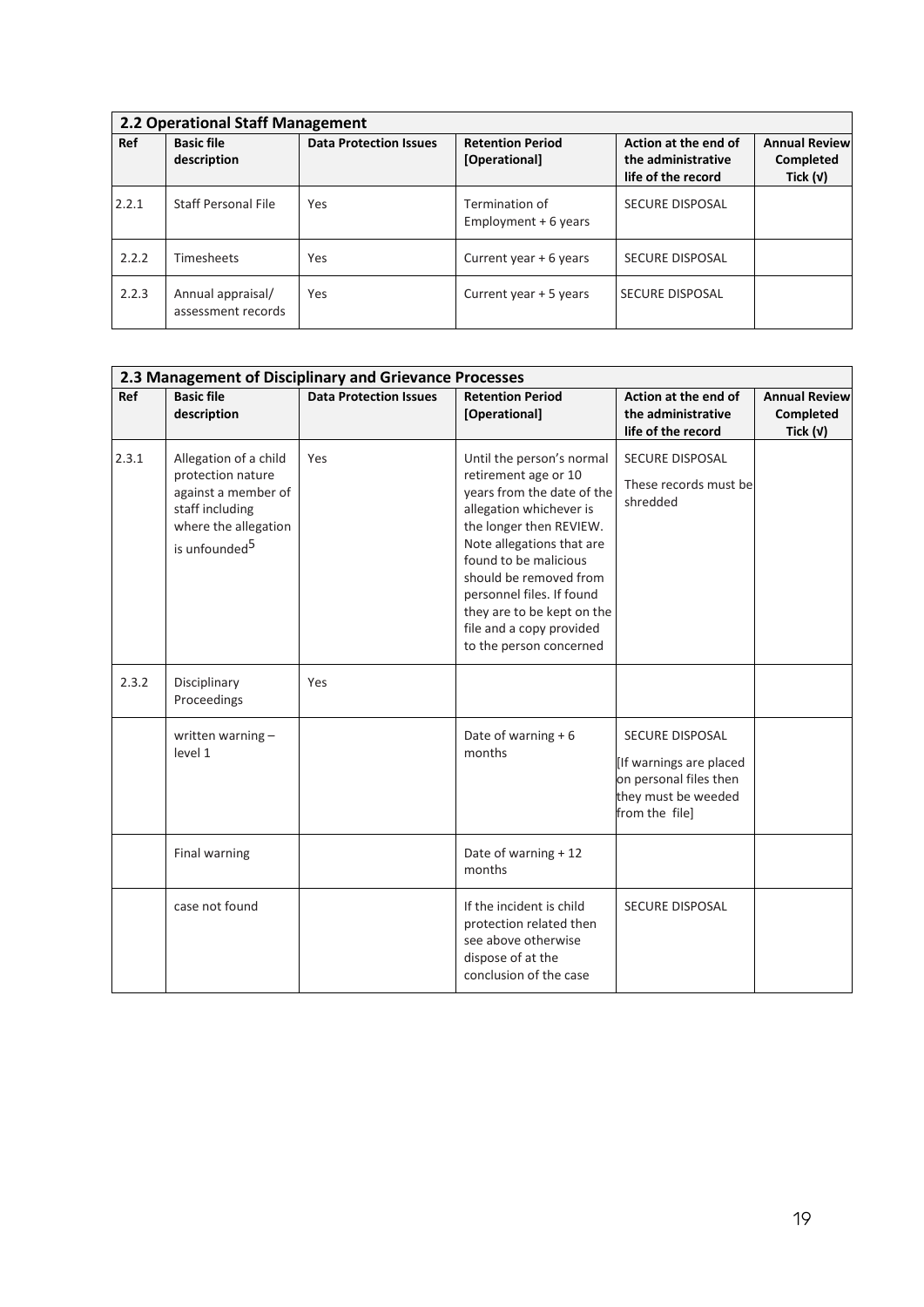| 2.2 Operational Staff Management |                                         |                               |                                          |                                                                  |                                                 |  |  |
|----------------------------------|-----------------------------------------|-------------------------------|------------------------------------------|------------------------------------------------------------------|-------------------------------------------------|--|--|
| <b>Ref</b>                       | <b>Basic file</b><br>description        | <b>Data Protection Issues</b> | <b>Retention Period</b><br>[Operational] | Action at the end of<br>the administrative<br>life of the record | <b>Annual Review</b><br>Completed<br>Tick $(v)$ |  |  |
| 2.2.1                            | Staff Personal File                     | Yes                           | Termination of<br>Employment $+6$ years  | SECURE DISPOSAL                                                  |                                                 |  |  |
| 2.2.2                            | <b>Timesheets</b>                       | Yes                           | Current year + 6 years                   | <b>SECURE DISPOSAL</b>                                           |                                                 |  |  |
| 2.2.3                            | Annual appraisal/<br>assessment records | Yes                           | Current year + 5 years                   | <b>SECURE DISPOSAL</b>                                           |                                                 |  |  |

|       | 2.3 Management of Disciplinary and Grievance Processes                                                                                    |                               |                                                                                                                                                                                                                                                                                                                                         |                                                                                                                      |                                                 |  |  |  |
|-------|-------------------------------------------------------------------------------------------------------------------------------------------|-------------------------------|-----------------------------------------------------------------------------------------------------------------------------------------------------------------------------------------------------------------------------------------------------------------------------------------------------------------------------------------|----------------------------------------------------------------------------------------------------------------------|-------------------------------------------------|--|--|--|
| Ref   | <b>Basic file</b><br>description                                                                                                          | <b>Data Protection Issues</b> | <b>Retention Period</b><br>[Operational]                                                                                                                                                                                                                                                                                                | Action at the end of<br>the administrative<br>life of the record                                                     | <b>Annual Review</b><br>Completed<br>Tick $(v)$ |  |  |  |
| 2.3.1 | Allegation of a child<br>protection nature<br>against a member of<br>staff including<br>where the allegation<br>is unfounded <sup>5</sup> | Yes                           | Until the person's normal<br>retirement age or 10<br>years from the date of the<br>allegation whichever is<br>the longer then REVIEW.<br>Note allegations that are<br>found to be malicious<br>should be removed from<br>personnel files. If found<br>they are to be kept on the<br>file and a copy provided<br>to the person concerned | <b>SECURE DISPOSAL</b><br>These records must be<br>shredded                                                          |                                                 |  |  |  |
| 2.3.2 | Disciplinary<br>Proceedings                                                                                                               | Yes                           |                                                                                                                                                                                                                                                                                                                                         |                                                                                                                      |                                                 |  |  |  |
|       | written warning -<br>level 1                                                                                                              |                               | Date of warning $+6$<br>months                                                                                                                                                                                                                                                                                                          | <b>SECURE DISPOSAL</b><br>[If warnings are placed<br>on personal files then<br>they must be weeded<br>from the file] |                                                 |  |  |  |
|       | Final warning                                                                                                                             |                               | Date of warning + 12<br>months                                                                                                                                                                                                                                                                                                          |                                                                                                                      |                                                 |  |  |  |
|       | case not found                                                                                                                            |                               | If the incident is child<br>protection related then<br>see above otherwise<br>dispose of at the<br>conclusion of the case                                                                                                                                                                                                               | SECURE DISPOSAL                                                                                                      |                                                 |  |  |  |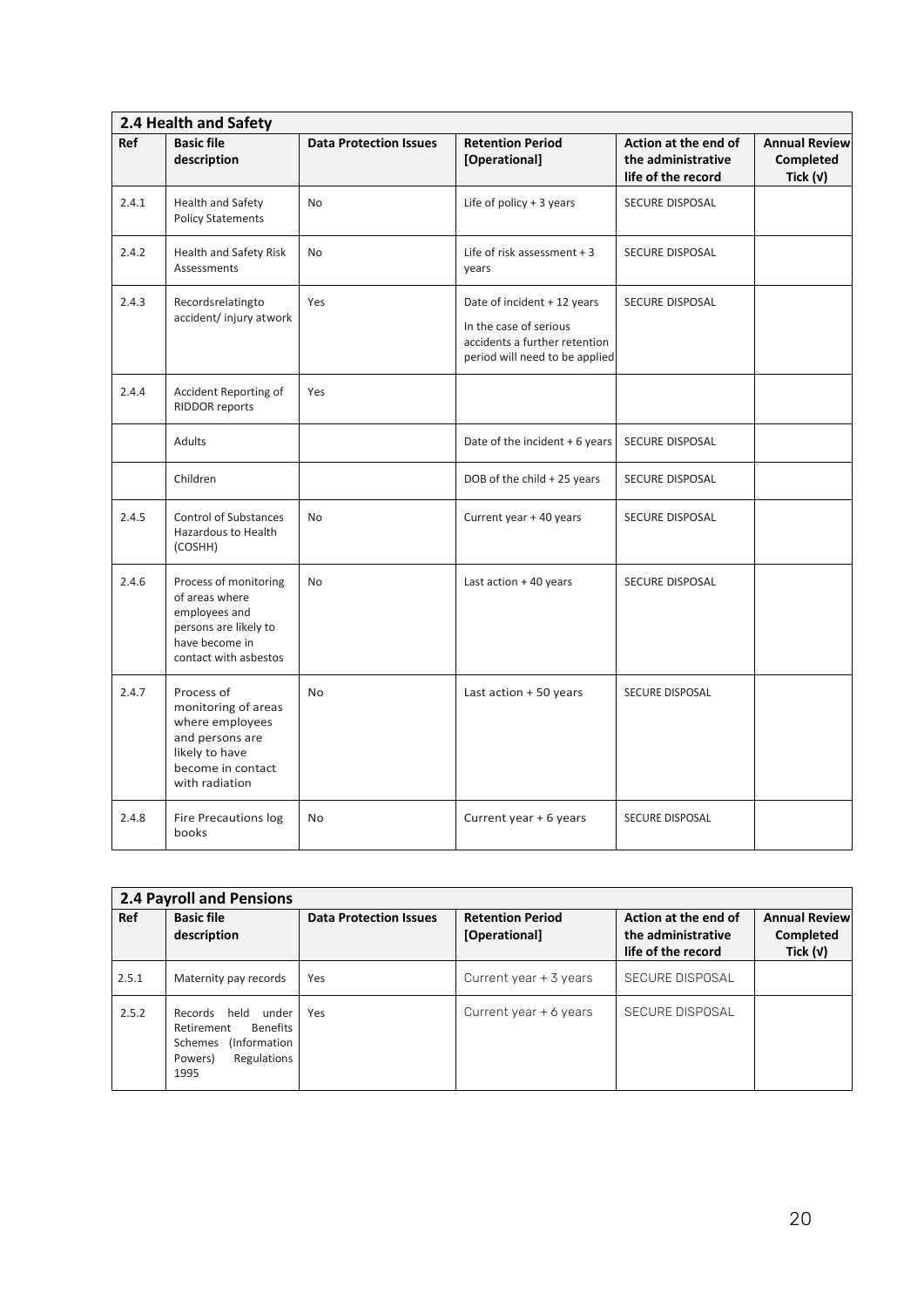|       | 2.4 Health and Safety                                                                                                            |                               |                                                                                                                          |                                                                  |                                                 |  |  |  |
|-------|----------------------------------------------------------------------------------------------------------------------------------|-------------------------------|--------------------------------------------------------------------------------------------------------------------------|------------------------------------------------------------------|-------------------------------------------------|--|--|--|
| Ref   | <b>Basic file</b><br>description                                                                                                 | <b>Data Protection Issues</b> | <b>Retention Period</b><br>[Operational]                                                                                 | Action at the end of<br>the administrative<br>life of the record | <b>Annual Review</b><br>Completed<br>Tick $(v)$ |  |  |  |
| 2.4.1 | Health and Safety<br><b>Policy Statements</b>                                                                                    | <b>No</b>                     | Life of policy $+3$ years                                                                                                | <b>SECURE DISPOSAL</b>                                           |                                                 |  |  |  |
| 2.4.2 | Health and Safety Risk<br>Assessments                                                                                            | No                            | Life of risk assessment $+3$<br>years                                                                                    | SECURE DISPOSAL                                                  |                                                 |  |  |  |
| 2.4.3 | Recordsrelatingto<br>accident/injury atwork                                                                                      | Yes                           | Date of incident + 12 years<br>In the case of serious<br>accidents a further retention<br>period will need to be applied | SECURE DISPOSAL                                                  |                                                 |  |  |  |
| 2.4.4 | Accident Reporting of<br><b>RIDDOR reports</b>                                                                                   | Yes                           |                                                                                                                          |                                                                  |                                                 |  |  |  |
|       | Adults                                                                                                                           |                               | Date of the incident + 6 years                                                                                           | <b>SECURE DISPOSAL</b>                                           |                                                 |  |  |  |
|       | Children                                                                                                                         |                               | DOB of the child + 25 years                                                                                              | SECURE DISPOSAL                                                  |                                                 |  |  |  |
| 2.4.5 | <b>Control of Substances</b><br>Hazardous to Health<br>(COSHH)                                                                   | <b>No</b>                     | Current year + 40 years                                                                                                  | SECURE DISPOSAL                                                  |                                                 |  |  |  |
| 2.4.6 | Process of monitoring<br>of areas where<br>employees and<br>persons are likely to<br>have become in<br>contact with asbestos     | <b>No</b>                     | Last action $+40$ years                                                                                                  | <b>SECURE DISPOSAL</b>                                           |                                                 |  |  |  |
| 2.4.7 | Process of<br>monitoring of areas<br>where employees<br>and persons are<br>likely to have<br>become in contact<br>with radiation | <b>No</b>                     | Last action + 50 years                                                                                                   | SECURE DISPOSAL                                                  |                                                 |  |  |  |
| 2.4.8 | <b>Fire Precautions log</b><br>books                                                                                             | No                            | Current year + 6 years                                                                                                   | SECURE DISPOSAL                                                  |                                                 |  |  |  |

|       | <b>2.4 Payroll and Pensions</b>                                                                                                |                               |                                          |                                                                  |                                                 |  |  |  |
|-------|--------------------------------------------------------------------------------------------------------------------------------|-------------------------------|------------------------------------------|------------------------------------------------------------------|-------------------------------------------------|--|--|--|
| Ref   | <b>Basic file</b><br>description                                                                                               | <b>Data Protection Issues</b> | <b>Retention Period</b><br>[Operational] | Action at the end of<br>the administrative<br>life of the record | <b>Annual Review</b><br>Completed<br>Tick $(v)$ |  |  |  |
| 2.5.1 | Maternity pay records                                                                                                          | Yes                           | Current year $+$ 3 years                 | <b>SECURE DISPOSAL</b>                                           |                                                 |  |  |  |
| 2.5.2 | Records<br>held<br>under<br><b>Benefits</b><br>Retirement<br><i>(Information)</i><br>Schemes<br>Regulations<br>Powers)<br>1995 | Yes                           | Current year $+$ 6 years                 | SECURE DISPOSAL                                                  |                                                 |  |  |  |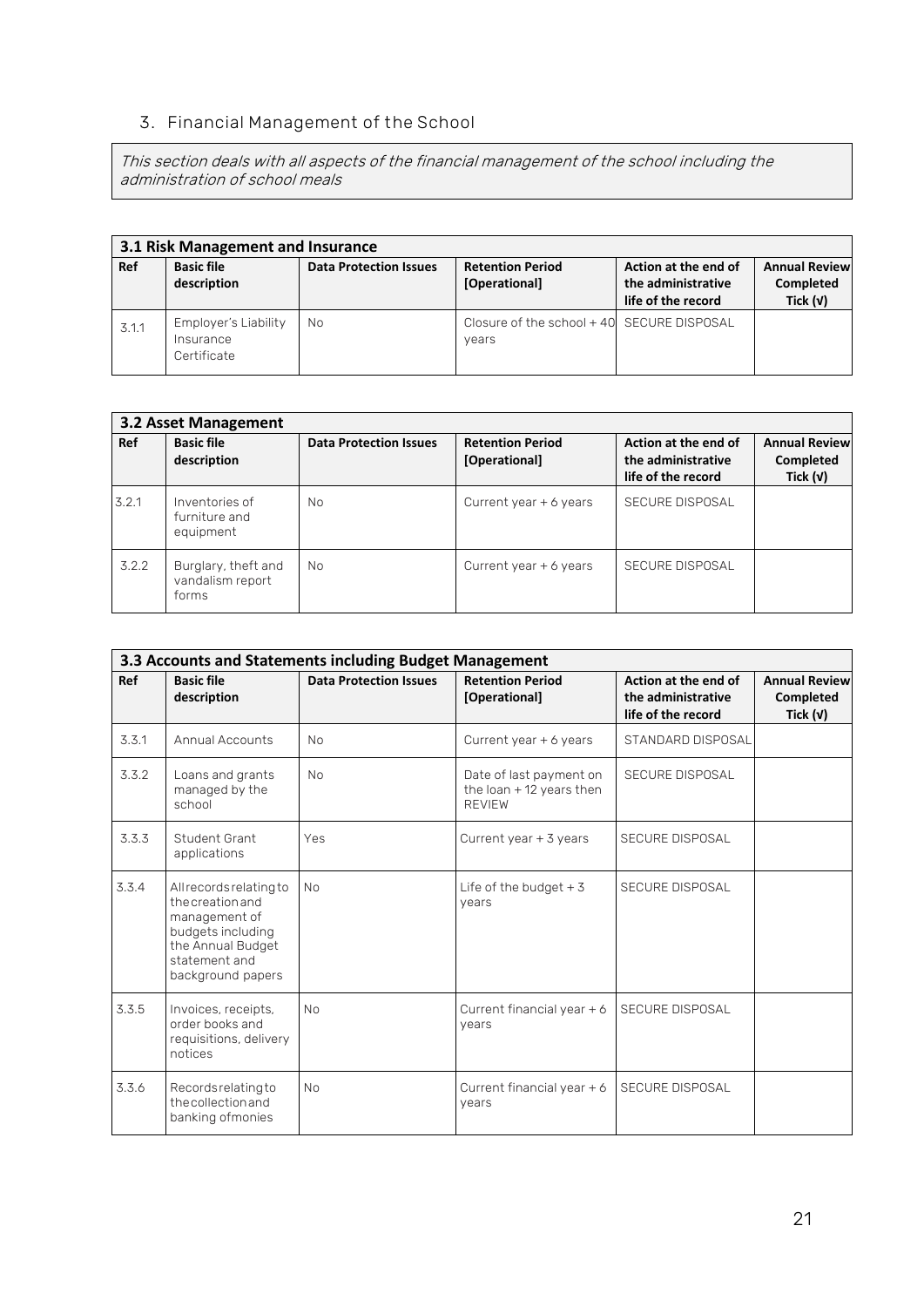### **3. Financial Management of the School**

This section deals with all aspects of the financial management of the school including the administration of school meals

| 3.1 Risk Management and Insurance |                                                  |                               |                                                     |                                                                  |                                                 |  |  |
|-----------------------------------|--------------------------------------------------|-------------------------------|-----------------------------------------------------|------------------------------------------------------------------|-------------------------------------------------|--|--|
| Ref                               | <b>Basic file</b><br>description                 | <b>Data Protection Issues</b> | <b>Retention Period</b><br>[Operational]            | Action at the end of<br>the administrative<br>life of the record | <b>Annual Review</b><br>Completed<br>Tick $(v)$ |  |  |
| 3.1.1                             | Employer's Liability<br>Insurance<br>Certificate | No                            | Closure of the school + 40 SECURE DISPOSAL<br>vears |                                                                  |                                                 |  |  |

|       | 3.2 Asset Management                             |                               |                                          |                                                                  |                                                 |
|-------|--------------------------------------------------|-------------------------------|------------------------------------------|------------------------------------------------------------------|-------------------------------------------------|
| Ref   | <b>Basic file</b><br>description                 | <b>Data Protection Issues</b> | <b>Retention Period</b><br>[Operational] | Action at the end of<br>the administrative<br>life of the record | <b>Annual Review</b><br>Completed<br>Tick $(v)$ |
| 3.2.1 | Inventories of<br>furniture and<br>equipment     | No.                           | Current year $+6$ years                  | <b>SECURE DISPOSAL</b>                                           |                                                 |
| 3.2.2 | Burglary, theft and<br>vandalism report<br>forms | No.                           | Current year $+6$ years                  | SECURE DISPOSAL                                                  |                                                 |

|       | 3.3 Accounts and Statements including Budget Management                                                                                      |                               |                                                                        |                                                                  |                                                 |
|-------|----------------------------------------------------------------------------------------------------------------------------------------------|-------------------------------|------------------------------------------------------------------------|------------------------------------------------------------------|-------------------------------------------------|
| Ref   | <b>Basic file</b><br>description                                                                                                             | <b>Data Protection Issues</b> | <b>Retention Period</b><br>[Operational]                               | Action at the end of<br>the administrative<br>life of the record | <b>Annual Review</b><br>Completed<br>Tick $(v)$ |
| 3.3.1 | <b>Annual Accounts</b>                                                                                                                       | <b>No</b>                     | Current year + 6 years                                                 | STANDARD DISPOSAL                                                |                                                 |
| 3.3.2 | Loans and grants<br>managed by the<br>school                                                                                                 | <b>No</b>                     | Date of last payment on<br>the loan $+$ 12 years then<br><b>REVIEW</b> | <b>SECURE DISPOSAL</b>                                           |                                                 |
| 3.3.3 | Student Grant<br>applications                                                                                                                | Yes                           | Current year $+$ 3 years                                               | <b>SECURE DISPOSAL</b>                                           |                                                 |
| 3.3.4 | All records relating to<br>the creation and<br>management of<br>budgets including<br>the Annual Budget<br>statement and<br>background papers | <b>No</b>                     | Life of the budget $+3$<br>years                                       | <b>SECURE DISPOSAL</b>                                           |                                                 |
| 3.3.5 | Invoices, receipts,<br>order books and<br>requisitions, delivery<br>notices                                                                  | <b>No</b>                     | Current financial year + 6<br>years                                    | <b>SECURE DISPOSAL</b>                                           |                                                 |
| 3.3.6 | Records relating to<br>the collection and<br>banking ofmonies                                                                                | <b>No</b>                     | Current financial year + 6<br>years                                    | <b>SECURE DISPOSAL</b>                                           |                                                 |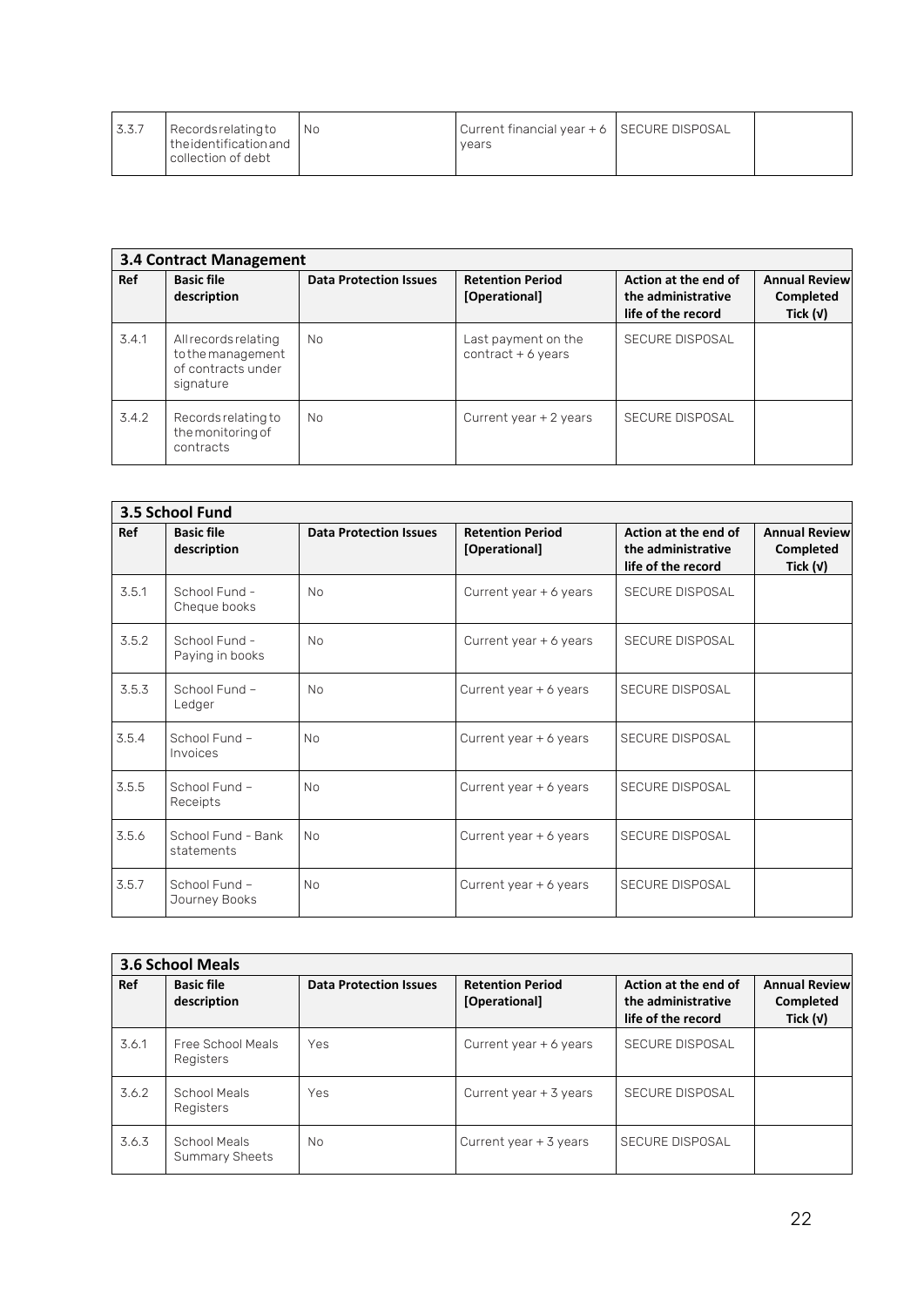| 3.3.7 | Recordsrelatingto<br>I the identification and<br>collection of debt | - I No | Current financial year + 6 SECURE DISPOSAL<br>vears |  |
|-------|---------------------------------------------------------------------|--------|-----------------------------------------------------|--|
|       |                                                                     |        |                                                     |  |

|       | <b>3.4 Contract Management</b>                                               |                               |                                             |                                                                  |                                                 |
|-------|------------------------------------------------------------------------------|-------------------------------|---------------------------------------------|------------------------------------------------------------------|-------------------------------------------------|
| Ref   | <b>Basic file</b><br>description                                             | <b>Data Protection Issues</b> | <b>Retention Period</b><br>[Operational]    | Action at the end of<br>the administrative<br>life of the record | <b>Annual Review</b><br>Completed<br>Tick $(v)$ |
| 3.4.1 | All records relating<br>to the management<br>of contracts under<br>signature | No.                           | Last payment on the<br>$contract + 6 years$ | <b>SECURE DISPOSAL</b>                                           |                                                 |
| 3.4.2 | Records relating to<br>the monitoring of<br>contracts                        | No.                           | Current year $+2$ years                     | SECURE DISPOSAL                                                  |                                                 |

|       | 3.5 School Fund                  |                               |                                          |                                                                  |                                                 |
|-------|----------------------------------|-------------------------------|------------------------------------------|------------------------------------------------------------------|-------------------------------------------------|
| Ref   | <b>Basic file</b><br>description | <b>Data Protection Issues</b> | <b>Retention Period</b><br>[Operational] | Action at the end of<br>the administrative<br>life of the record | <b>Annual Review</b><br>Completed<br>Tick $(v)$ |
| 3.5.1 | School Fund -<br>Cheque books    | <b>No</b>                     | Current year + 6 years                   | <b>SECURE DISPOSAL</b>                                           |                                                 |
| 3.5.2 | School Fund -<br>Paying in books | N <sub>0</sub>                | Current year + 6 years                   | <b>SECURE DISPOSAL</b>                                           |                                                 |
| 3.5.3 | School Fund -<br>Ledger          | N <sub>0</sub>                | Current year + 6 years                   | <b>SECURE DISPOSAL</b>                                           |                                                 |
| 3.5.4 | School Fund -<br>Invoices        | N <sub>0</sub>                | Current year + 6 years                   | <b>SECURE DISPOSAL</b>                                           |                                                 |
| 3.5.5 | School Fund -<br>Receipts        | N <sub>0</sub>                | Current year + 6 years                   | <b>SECURE DISPOSAL</b>                                           |                                                 |
| 3.5.6 | School Fund - Bank<br>statements | <b>No</b>                     | Current year + 6 years                   | SECURE DISPOSAL                                                  |                                                 |
| 3.5.7 | School Fund -<br>Journey Books   | <b>No</b>                     | Current year + 6 years                   | SECURE DISPOSAL                                                  |                                                 |

|       | <b>3.6 School Meals</b>               |                               |                                          |                                                                  |                                                 |
|-------|---------------------------------------|-------------------------------|------------------------------------------|------------------------------------------------------------------|-------------------------------------------------|
| Ref   | <b>Basic file</b><br>description      | <b>Data Protection Issues</b> | <b>Retention Period</b><br>[Operational] | Action at the end of<br>the administrative<br>life of the record | <b>Annual Review</b><br>Completed<br>Tick $(v)$ |
| 3.6.1 | Free School Meals<br>Registers        | Yes                           | Current year $+$ 6 years                 | <b>SECURE DISPOSAL</b>                                           |                                                 |
| 3.6.2 | School Meals<br>Registers             | Yes                           | Current year $+$ 3 years                 | <b>SECURE DISPOSAL</b>                                           |                                                 |
| 3.6.3 | School Meals<br><b>Summary Sheets</b> | No                            | Current year + 3 years                   | SECURE DISPOSAL                                                  |                                                 |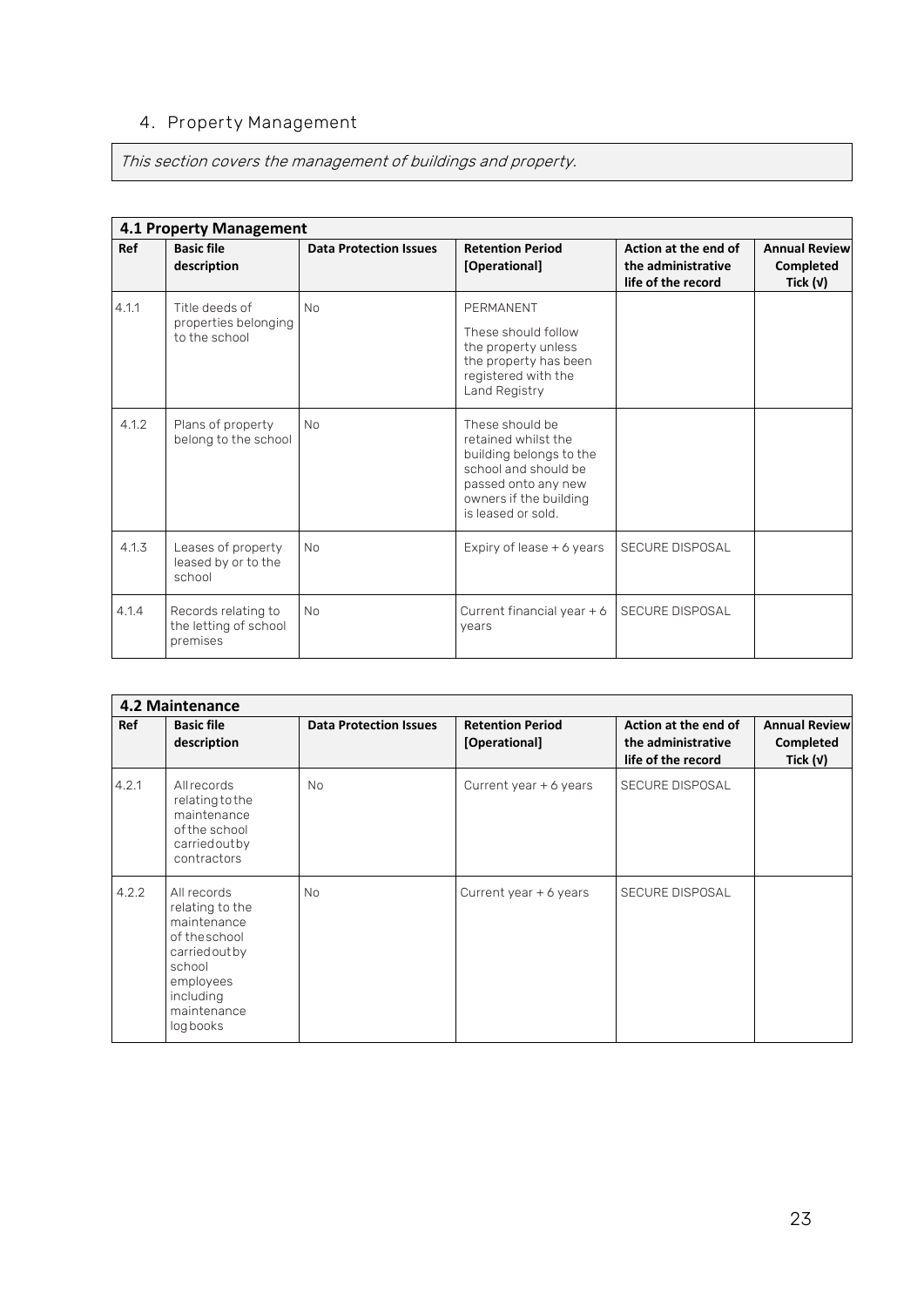### **4. Property Management**

This section covers the management of buildings and property.

|       | <b>4.1 Property Management</b>                           |                               |                                                                                                                                                                  |                                                                  |                                                 |
|-------|----------------------------------------------------------|-------------------------------|------------------------------------------------------------------------------------------------------------------------------------------------------------------|------------------------------------------------------------------|-------------------------------------------------|
| Ref   | <b>Basic file</b><br>description                         | <b>Data Protection Issues</b> | <b>Retention Period</b><br>[Operational]                                                                                                                         | Action at the end of<br>the administrative<br>life of the record | <b>Annual Review</b><br>Completed<br>Tick $(v)$ |
| 4.1.1 | Title deeds of<br>properties belonging<br>to the school  | <b>No</b>                     | PERMANENT<br>These should follow<br>the property unless<br>the property has been<br>registered with the<br>Land Registry                                         |                                                                  |                                                 |
| 4.1.2 | Plans of property<br>belong to the school                | <b>No</b>                     | These should be<br>retained whilst the<br>building belongs to the<br>school and should be<br>passed onto any new<br>owners if the building<br>is leased or sold. |                                                                  |                                                 |
| 4.1.3 | Leases of property<br>leased by or to the<br>school      | <b>No</b>                     | Expiry of lease $+$ 6 years                                                                                                                                      | SECURE DISPOSAL                                                  |                                                 |
| 4.1.4 | Records relating to<br>the letting of school<br>premises | <b>No</b>                     | Current financial year + 6<br>years                                                                                                                              | SECURE DISPOSAL                                                  |                                                 |

|            | <b>4.2 Maintenance</b>                                                                                                                        |                               |                                          |                                                                  |                                                 |
|------------|-----------------------------------------------------------------------------------------------------------------------------------------------|-------------------------------|------------------------------------------|------------------------------------------------------------------|-------------------------------------------------|
| <b>Ref</b> | <b>Basic file</b><br>description                                                                                                              | <b>Data Protection Issues</b> | <b>Retention Period</b><br>[Operational] | Action at the end of<br>the administrative<br>life of the record | <b>Annual Review</b><br>Completed<br>Tick $(v)$ |
| 4.2.1      | <b>All records</b><br>relating to the<br>maintenance<br>of the school<br>carriedoutby<br>contractors                                          | <b>No</b>                     | Current year + 6 years                   | <b>SECURE DISPOSAL</b>                                           |                                                 |
| 4.2.2      | All records<br>relating to the<br>maintenance<br>of the school<br>carriedoutby<br>school<br>employees<br>including<br>maintenance<br>logbooks | <b>No</b>                     | Current year $+$ 6 years                 | <b>SECURE DISPOSAL</b>                                           |                                                 |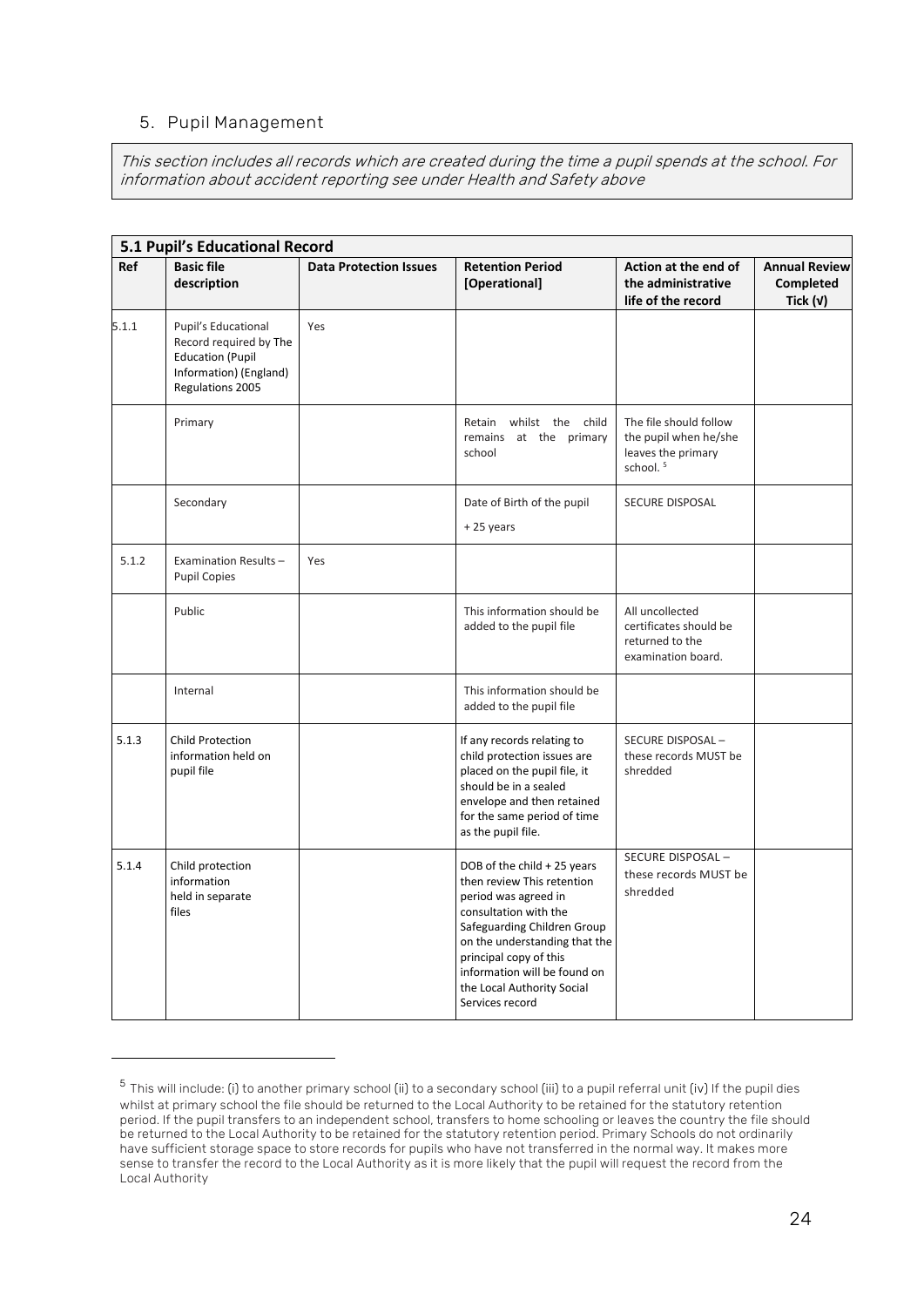#### **5. Pupil Management**

This section includes all records which are created during the time a pupil spends at the school. For information about accident reporting see under Health and Safety above

|       | 5.1 Pupil's Educational Record                                                                                         |                               |                                                                                                                                                                                                                                                                                       |                                                                                               |                                                        |
|-------|------------------------------------------------------------------------------------------------------------------------|-------------------------------|---------------------------------------------------------------------------------------------------------------------------------------------------------------------------------------------------------------------------------------------------------------------------------------|-----------------------------------------------------------------------------------------------|--------------------------------------------------------|
| Ref   | <b>Basic file</b><br>description                                                                                       | <b>Data Protection Issues</b> | <b>Retention Period</b><br>[Operational]                                                                                                                                                                                                                                              | Action at the end of<br>the administrative<br>life of the record                              | <b>Annual Review</b><br><b>Completed</b><br>Tick $(v)$ |
| 5.1.1 | Pupil's Educational<br>Record required by The<br><b>Education (Pupil</b><br>Information) (England)<br>Regulations 2005 | Yes                           |                                                                                                                                                                                                                                                                                       |                                                                                               |                                                        |
|       | Primary                                                                                                                |                               | Retain whilst the child<br>remains at the primary<br>school                                                                                                                                                                                                                           | The file should follow<br>the pupil when he/she<br>leaves the primary<br>school. <sup>5</sup> |                                                        |
|       | Secondary                                                                                                              |                               | Date of Birth of the pupil<br>+25 years                                                                                                                                                                                                                                               | <b>SECURE DISPOSAL</b>                                                                        |                                                        |
| 5.1.2 | Examination Results-<br><b>Pupil Copies</b>                                                                            | Yes                           |                                                                                                                                                                                                                                                                                       |                                                                                               |                                                        |
|       | Public                                                                                                                 |                               | This information should be<br>added to the pupil file                                                                                                                                                                                                                                 | All uncollected<br>certificates should be<br>returned to the<br>examination board.            |                                                        |
|       | Internal                                                                                                               |                               | This information should be<br>added to the pupil file                                                                                                                                                                                                                                 |                                                                                               |                                                        |
| 5.1.3 | <b>Child Protection</b><br>information held on<br>pupil file                                                           |                               | If any records relating to<br>child protection issues are<br>placed on the pupil file, it<br>should be in a sealed<br>envelope and then retained<br>for the same period of time<br>as the pupil file.                                                                                 | SECURE DISPOSAL-<br>these records MUST be<br>shredded                                         |                                                        |
| 5.1.4 | Child protection<br>information<br>held in separate<br>files                                                           |                               | DOB of the child + 25 years<br>then review This retention<br>period was agreed in<br>consultation with the<br>Safeguarding Children Group<br>on the understanding that the<br>principal copy of this<br>information will be found on<br>the Local Authority Social<br>Services record | SECURE DISPOSAL-<br>these records MUST be<br>shredded                                         |                                                        |

 $^5$  This will include: (i) to another primary school (ii) to a secondary school (iii) to a pupil referral unit (iv) If the pupil dies whilst at primary school the file should be returned to the Local Authority to be retained for the statutory retention period. If the pupil transfers to an independent school, transfers to home schooling or leaves the country the file should be returned to the Local Authority to be retained for the statutory retention period. Primary Schools do not ordinarily have sufficient storage space to store records for pupils who have not transferred in the normal way. It makes more sense to transfer the record to the Local Authority as it is more likely that the pupil will request the record from the Local Authority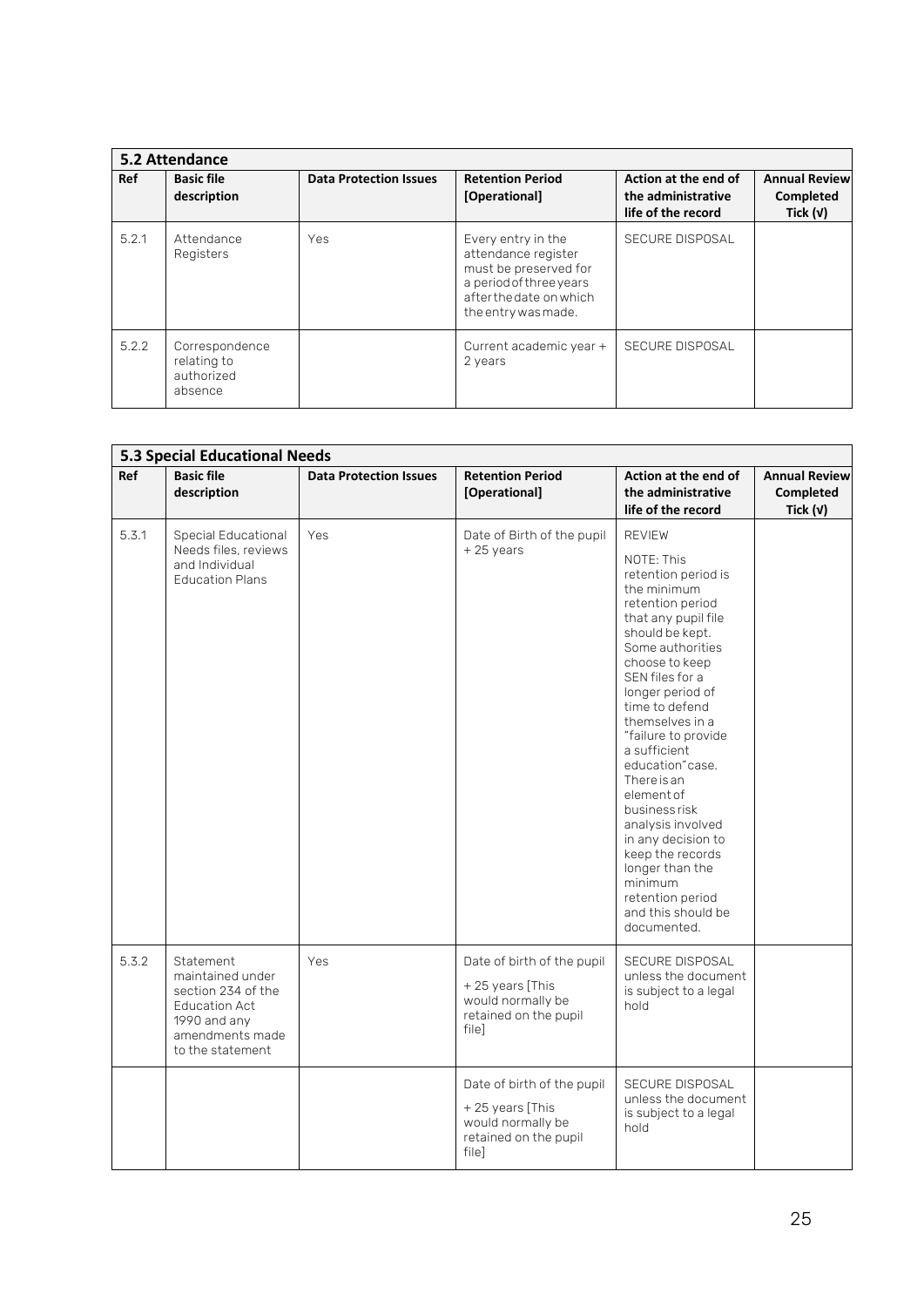|       | 5.2 Attendance                                         |                               |                                                                                                                                                 |                                                                  |                                                 |
|-------|--------------------------------------------------------|-------------------------------|-------------------------------------------------------------------------------------------------------------------------------------------------|------------------------------------------------------------------|-------------------------------------------------|
| Ref   | <b>Basic file</b><br>description                       | <b>Data Protection Issues</b> | <b>Retention Period</b><br>[Operational]                                                                                                        | Action at the end of<br>the administrative<br>life of the record | <b>Annual Review</b><br>Completed<br>Tick $(v)$ |
| 5.2.1 | Attendance<br>Registers                                | Yes                           | Every entry in the<br>attendance register<br>must be preserved for<br>a period of three years<br>after the date on which<br>the entry was made. | SECURE DISPOSAL                                                  |                                                 |
| 5.2.2 | Correspondence<br>relating to<br>authorized<br>absence |                               | Current academic year +<br>2 years                                                                                                              | SECURE DISPOSAL                                                  |                                                 |

|       | <b>5.3 Special Educational Needs</b>                                                                                               |                               |                                                                                                      |                                                                                                                                                                                                                                                                                                                                                                                                                                                                                                |                                                 |
|-------|------------------------------------------------------------------------------------------------------------------------------------|-------------------------------|------------------------------------------------------------------------------------------------------|------------------------------------------------------------------------------------------------------------------------------------------------------------------------------------------------------------------------------------------------------------------------------------------------------------------------------------------------------------------------------------------------------------------------------------------------------------------------------------------------|-------------------------------------------------|
| Ref   | <b>Basic file</b><br>description                                                                                                   | <b>Data Protection Issues</b> | <b>Retention Period</b><br>[Operational]                                                             | Action at the end of<br>the administrative<br>life of the record                                                                                                                                                                                                                                                                                                                                                                                                                               | <b>Annual Review</b><br>Completed<br>Tick $(v)$ |
| 5.3.1 | Special Educational                                                                                                                | Yes                           | Date of Birth of the pupil                                                                           | <b>REVIEW</b>                                                                                                                                                                                                                                                                                                                                                                                                                                                                                  |                                                 |
|       | Needs files, reviews<br>and Individual<br><b>Education Plans</b>                                                                   |                               | $+25$ years                                                                                          | NOTE: This<br>retention period is<br>the minimum<br>retention period<br>that any pupil file<br>should be kept.<br>Some authorities<br>choose to keep<br>SEN files for a<br>longer period of<br>time to defend<br>themselves in a<br>"failure to provide<br>a sufficient<br>education"case.<br>There is an<br>element of<br>business risk<br>analysis involved<br>in any decision to<br>keep the records<br>longer than the<br>minimum<br>retention period<br>and this should be<br>documented. |                                                 |
| 5.3.2 | Statement<br>maintained under<br>section 234 of the<br><b>Education Act</b><br>1990 and any<br>amendments made<br>to the statement | Yes                           | Date of birth of the pupil<br>+25 years [This<br>would normally be<br>retained on the pupil<br>filel | <b>SECURE DISPOSAL</b><br>unless the document<br>is subject to a legal<br>hold                                                                                                                                                                                                                                                                                                                                                                                                                 |                                                 |
|       |                                                                                                                                    |                               | Date of birth of the pupil<br>+25 years [This<br>would normally be<br>retained on the pupil<br>file] | <b>SECURE DISPOSAL</b><br>unless the document<br>is subject to a legal<br>hold                                                                                                                                                                                                                                                                                                                                                                                                                 |                                                 |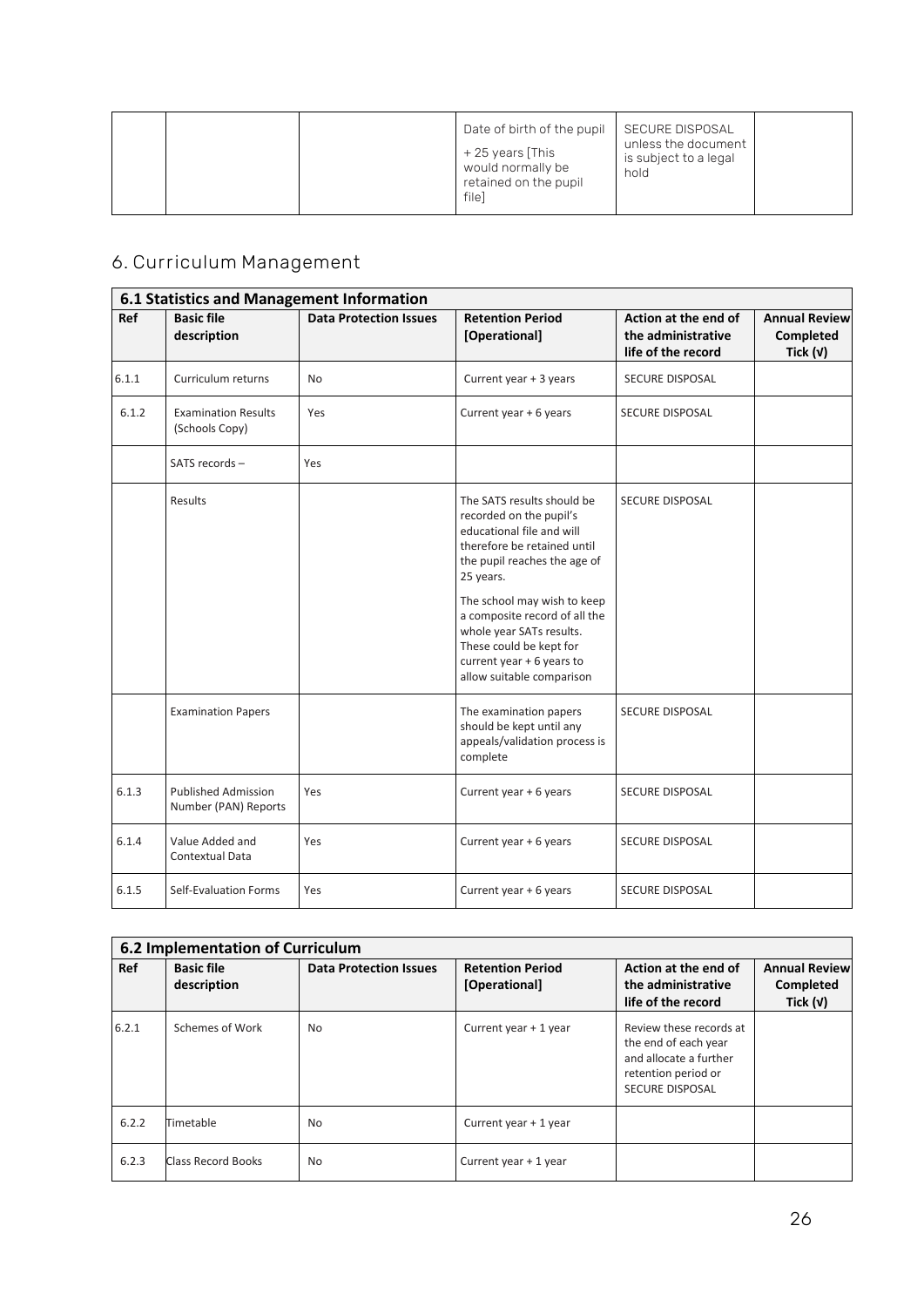| unless the document<br>+25 years [This<br>is subject to a legal<br>would normally be<br>hold<br>retained on the pupil<br>filel |
|--------------------------------------------------------------------------------------------------------------------------------|
|--------------------------------------------------------------------------------------------------------------------------------|

# **6. Curriculum Management**

| 6.1 Statistics and Management Information |                                                    |                               |                                                                                                                                                                                                                                                                                                                                                 |                                                                  |                                                 |  |  |  |
|-------------------------------------------|----------------------------------------------------|-------------------------------|-------------------------------------------------------------------------------------------------------------------------------------------------------------------------------------------------------------------------------------------------------------------------------------------------------------------------------------------------|------------------------------------------------------------------|-------------------------------------------------|--|--|--|
| Ref                                       | <b>Basic file</b><br>description                   | <b>Data Protection Issues</b> | <b>Retention Period</b><br>[Operational]                                                                                                                                                                                                                                                                                                        | Action at the end of<br>the administrative<br>life of the record | <b>Annual Review</b><br>Completed<br>Tick $(v)$ |  |  |  |
| 6.1.1                                     | Curriculum returns                                 | <b>No</b>                     | Current year + 3 years                                                                                                                                                                                                                                                                                                                          | SECURE DISPOSAL                                                  |                                                 |  |  |  |
| 6.1.2                                     | <b>Examination Results</b><br>(Schools Copy)       | Yes                           | Current year + 6 years                                                                                                                                                                                                                                                                                                                          | SECURE DISPOSAL                                                  |                                                 |  |  |  |
|                                           | SATS records -                                     | Yes                           |                                                                                                                                                                                                                                                                                                                                                 |                                                                  |                                                 |  |  |  |
|                                           | Results                                            |                               | The SATS results should be<br>recorded on the pupil's<br>educational file and will<br>therefore be retained until<br>the pupil reaches the age of<br>25 years.<br>The school may wish to keep<br>a composite record of all the<br>whole year SATs results.<br>These could be kept for<br>current year + 6 years to<br>allow suitable comparison | SECURE DISPOSAL                                                  |                                                 |  |  |  |
|                                           | <b>Examination Papers</b>                          |                               | The examination papers<br>should be kept until any<br>appeals/validation process is<br>complete                                                                                                                                                                                                                                                 | <b>SECURE DISPOSAL</b>                                           |                                                 |  |  |  |
| 6.1.3                                     | <b>Published Admission</b><br>Number (PAN) Reports | Yes                           | Current year + 6 years                                                                                                                                                                                                                                                                                                                          | <b>SECURE DISPOSAL</b>                                           |                                                 |  |  |  |
| 6.1.4                                     | Value Added and<br>Contextual Data                 | Yes                           | Current year + 6 years                                                                                                                                                                                                                                                                                                                          | SECURE DISPOSAL                                                  |                                                 |  |  |  |
| 6.1.5                                     | Self-Evaluation Forms                              | Yes                           | Current year + 6 years                                                                                                                                                                                                                                                                                                                          | <b>SECURE DISPOSAL</b>                                           |                                                 |  |  |  |

|       | 6.2 Implementation of Curriculum |                               |                                          |                                                                                                                            |                                                 |  |  |  |
|-------|----------------------------------|-------------------------------|------------------------------------------|----------------------------------------------------------------------------------------------------------------------------|-------------------------------------------------|--|--|--|
| Ref   | <b>Basic file</b><br>description | <b>Data Protection Issues</b> | <b>Retention Period</b><br>[Operational] | Action at the end of<br>the administrative<br>life of the record                                                           | <b>Annual Review</b><br>Completed<br>Tick $(v)$ |  |  |  |
| 6.2.1 | Schemes of Work                  | <b>No</b>                     | Current year + 1 year                    | Review these records at<br>the end of each year<br>and allocate a further<br>retention period or<br><b>SECURE DISPOSAL</b> |                                                 |  |  |  |
| 6.2.2 | Timetable                        | No                            | Current year + 1 year                    |                                                                                                                            |                                                 |  |  |  |
| 6.2.3 | Class Record Books               | No                            | Current year + 1 year                    |                                                                                                                            |                                                 |  |  |  |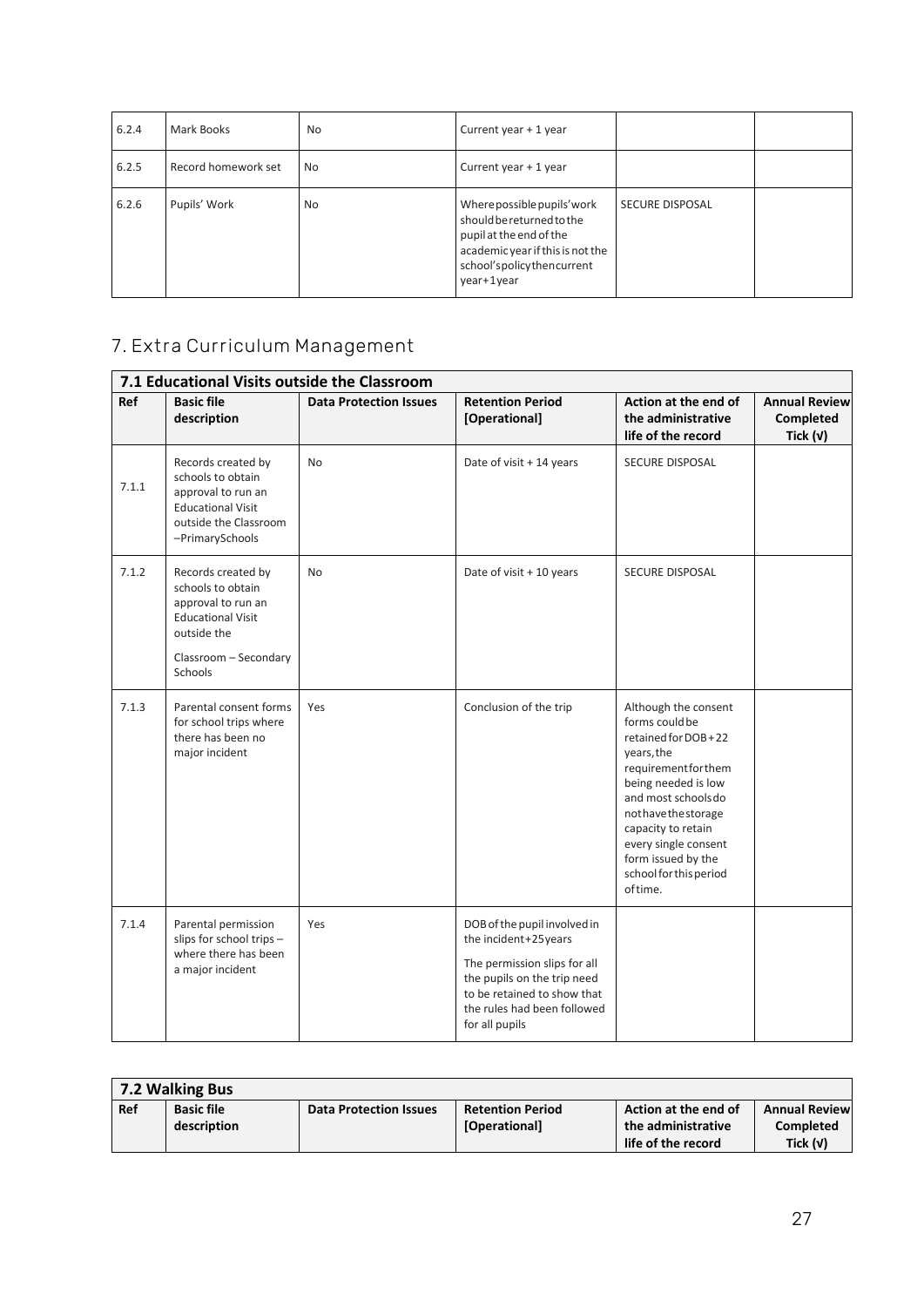| 6.2.4 | Mark Books          | <b>No</b> | Current year + 1 year                                                                                                                                              |                        |  |
|-------|---------------------|-----------|--------------------------------------------------------------------------------------------------------------------------------------------------------------------|------------------------|--|
| 6.2.5 | Record homework set | No        | Current year + 1 year                                                                                                                                              |                        |  |
| 6.2.6 | Pupils' Work        | No        | Where possible pupils' work<br>should be returned to the<br>pupil at the end of the<br>academic year if this is not the<br>school'spolicythencurrent<br>year+1year | <b>SECURE DISPOSAL</b> |  |

# **7. Extra Curriculum Management**

| 7.1 Educational Visits outside the Classroom |                                                                                                                                              |                               |                                                                                                                                                                                                     |                                                                                                                                                                                                                                                                                |                                                        |  |  |
|----------------------------------------------|----------------------------------------------------------------------------------------------------------------------------------------------|-------------------------------|-----------------------------------------------------------------------------------------------------------------------------------------------------------------------------------------------------|--------------------------------------------------------------------------------------------------------------------------------------------------------------------------------------------------------------------------------------------------------------------------------|--------------------------------------------------------|--|--|
| Ref                                          | <b>Basic file</b><br>description                                                                                                             | <b>Data Protection Issues</b> | <b>Retention Period</b><br>[Operational]                                                                                                                                                            | Action at the end of<br>the administrative<br>life of the record                                                                                                                                                                                                               | <b>Annual Review</b><br><b>Completed</b><br>Tick $(v)$ |  |  |
| 7.1.1                                        | Records created by<br>schools to obtain<br>approval to run an<br><b>Educational Visit</b><br>outside the Classroom<br>-PrimarySchools        | <b>No</b>                     | Date of visit + 14 years                                                                                                                                                                            | SECURE DISPOSAL                                                                                                                                                                                                                                                                |                                                        |  |  |
| 7.1.2                                        | Records created by<br>schools to obtain<br>approval to run an<br><b>Educational Visit</b><br>outside the<br>Classroom - Secondary<br>Schools | <b>No</b>                     | Date of visit + 10 years                                                                                                                                                                            | <b>SECURE DISPOSAL</b>                                                                                                                                                                                                                                                         |                                                        |  |  |
| 7.1.3                                        | Parental consent forms<br>for school trips where<br>there has been no<br>major incident                                                      | Yes                           | Conclusion of the trip                                                                                                                                                                              | Although the consent<br>forms could be<br>retained for DOB+22<br>years, the<br>requirementforthem<br>being needed is low<br>and most schools do<br>nothavethestorage<br>capacity to retain<br>every single consent<br>form issued by the<br>school for this period<br>of time. |                                                        |  |  |
| 7.1.4                                        | Parental permission<br>slips for school trips -<br>where there has been<br>a major incident                                                  | Yes                           | DOB of the pupil involved in<br>the incident+25years<br>The permission slips for all<br>the pupils on the trip need<br>to be retained to show that<br>the rules had been followed<br>for all pupils |                                                                                                                                                                                                                                                                                |                                                        |  |  |

| 7.2 Walking Bus |                                  |                               |                                          |                                                                  |                                                 |  |  |
|-----------------|----------------------------------|-------------------------------|------------------------------------------|------------------------------------------------------------------|-------------------------------------------------|--|--|
| Ref             | <b>Basic file</b><br>description | <b>Data Protection Issues</b> | <b>Retention Period</b><br>[Operational] | Action at the end of<br>the administrative<br>life of the record | <b>Annual Review</b><br>Completed<br>Tick $(v)$ |  |  |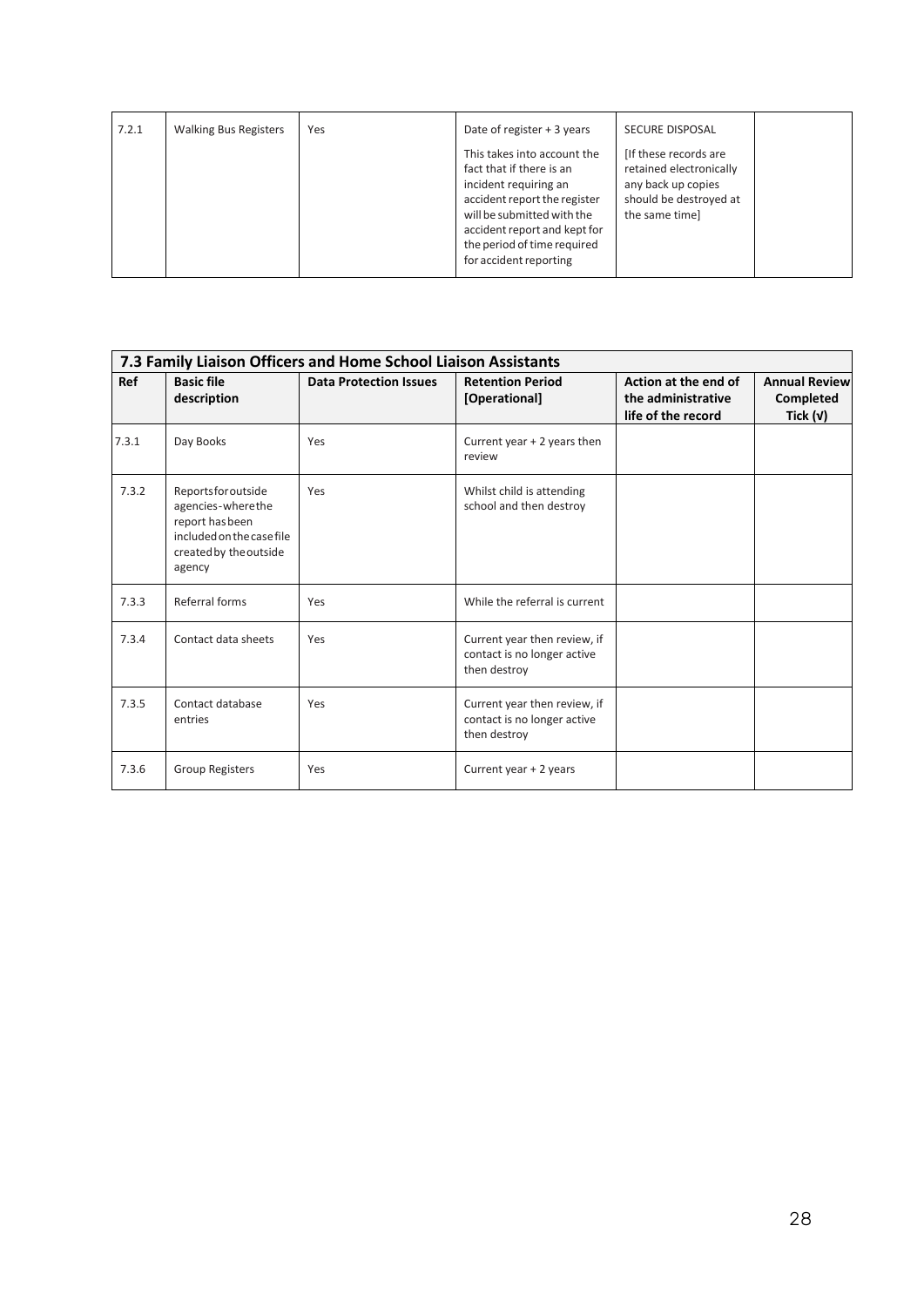| 7.2.1 | <b>Walking Bus Registers</b> | Yes | Date of register + 3 years                                                                                                                                                                                                              | <b>SECURE DISPOSAL</b>                                                                                              |  |
|-------|------------------------------|-----|-----------------------------------------------------------------------------------------------------------------------------------------------------------------------------------------------------------------------------------------|---------------------------------------------------------------------------------------------------------------------|--|
|       |                              |     | This takes into account the<br>fact that if there is an<br>incident requiring an<br>accident report the register<br>will be submitted with the<br>accident report and kept for<br>the period of time required<br>for accident reporting | [If these records are]<br>retained electronically<br>any back up copies<br>should be destroyed at<br>the same timel |  |

|       | 7.3 Family Liaison Officers and Home School Liaison Assistants                                                             |                               |                                                                             |                                                                  |                                                 |  |  |
|-------|----------------------------------------------------------------------------------------------------------------------------|-------------------------------|-----------------------------------------------------------------------------|------------------------------------------------------------------|-------------------------------------------------|--|--|
| Ref   | <b>Basic file</b><br>description                                                                                           | <b>Data Protection Issues</b> | <b>Retention Period</b><br>[Operational]                                    | Action at the end of<br>the administrative<br>life of the record | <b>Annual Review</b><br>Completed<br>Tick $(v)$ |  |  |
| 7.3.1 | Day Books                                                                                                                  | Yes                           | Current year + 2 years then<br>review                                       |                                                                  |                                                 |  |  |
| 7.3.2 | Reportsforoutside<br>agencies-wherethe<br>report has been<br>included on the case file<br>created by the outside<br>agency | Yes                           | Whilst child is attending<br>school and then destroy                        |                                                                  |                                                 |  |  |
| 7.3.3 | Referral forms                                                                                                             | Yes                           | While the referral is current                                               |                                                                  |                                                 |  |  |
| 7.3.4 | Contact data sheets                                                                                                        | Yes                           | Current year then review, if<br>contact is no longer active<br>then destroy |                                                                  |                                                 |  |  |
| 7.3.5 | Contact database<br>entries                                                                                                | Yes                           | Current year then review, if<br>contact is no longer active<br>then destroy |                                                                  |                                                 |  |  |
| 7.3.6 | <b>Group Registers</b>                                                                                                     | Yes                           | Current year + 2 years                                                      |                                                                  |                                                 |  |  |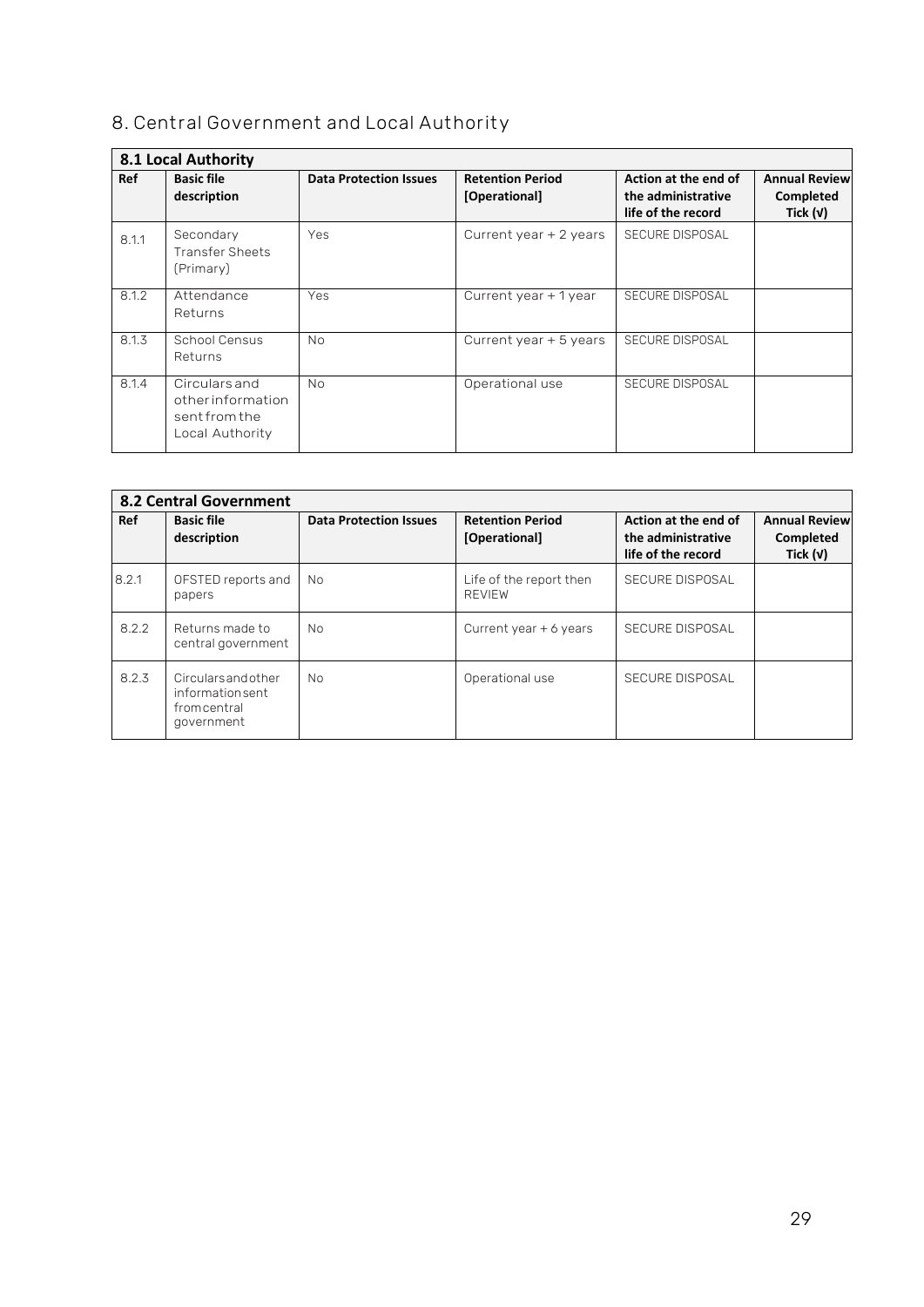## **8. Central Government and Local Authority**

| 8.1 Local Authority |                                                                       |                               |                                          |                                                                  |                                                 |  |  |
|---------------------|-----------------------------------------------------------------------|-------------------------------|------------------------------------------|------------------------------------------------------------------|-------------------------------------------------|--|--|
| Ref                 | <b>Basic file</b><br>description                                      | <b>Data Protection Issues</b> | <b>Retention Period</b><br>[Operational] | Action at the end of<br>the administrative<br>life of the record | <b>Annual Review</b><br>Completed<br>Tick $(v)$ |  |  |
| 8.1.1               | Secondary<br><b>Transfer Sheets</b><br>(Primary)                      | Yes                           | Current year + 2 years                   | <b>SECURE DISPOSAL</b>                                           |                                                 |  |  |
| 8.1.2               | Attendance<br>Returns                                                 | Yes                           | Current year + 1 year                    | <b>SECURE DISPOSAL</b>                                           |                                                 |  |  |
| 8.1.3               | School Census<br>Returns                                              | <b>No</b>                     | Current year + 5 years                   | <b>SECURE DISPOSAL</b>                                           |                                                 |  |  |
| 8.1.4               | Circulars and<br>otherinformation<br>sent from the<br>Local Authority | <b>No</b>                     | Operational use                          | <b>SECURE DISPOSAL</b>                                           |                                                 |  |  |

|       | <b>8.2 Central Government</b>                                     |                               |                                          |                                                                  |                                                 |  |  |  |
|-------|-------------------------------------------------------------------|-------------------------------|------------------------------------------|------------------------------------------------------------------|-------------------------------------------------|--|--|--|
| Ref   | <b>Basic file</b><br>description                                  | <b>Data Protection Issues</b> | <b>Retention Period</b><br>[Operational] | Action at the end of<br>the administrative<br>life of the record | <b>Annual Review</b><br>Completed<br>Tick $(v)$ |  |  |  |
| 8.2.1 | OFSTED reports and<br>papers                                      | No                            | Life of the report then<br><b>REVIEW</b> | SECURE DISPOSAL                                                  |                                                 |  |  |  |
| 8.2.2 | Returns made to<br>central government                             | <b>No</b>                     | Current year $+6$ years                  | <b>SECURE DISPOSAL</b>                                           |                                                 |  |  |  |
| 8.2.3 | Circularsandother<br>informationsent<br>fromcentral<br>government | <b>No</b>                     | Operational use                          | SECURE DISPOSAL                                                  |                                                 |  |  |  |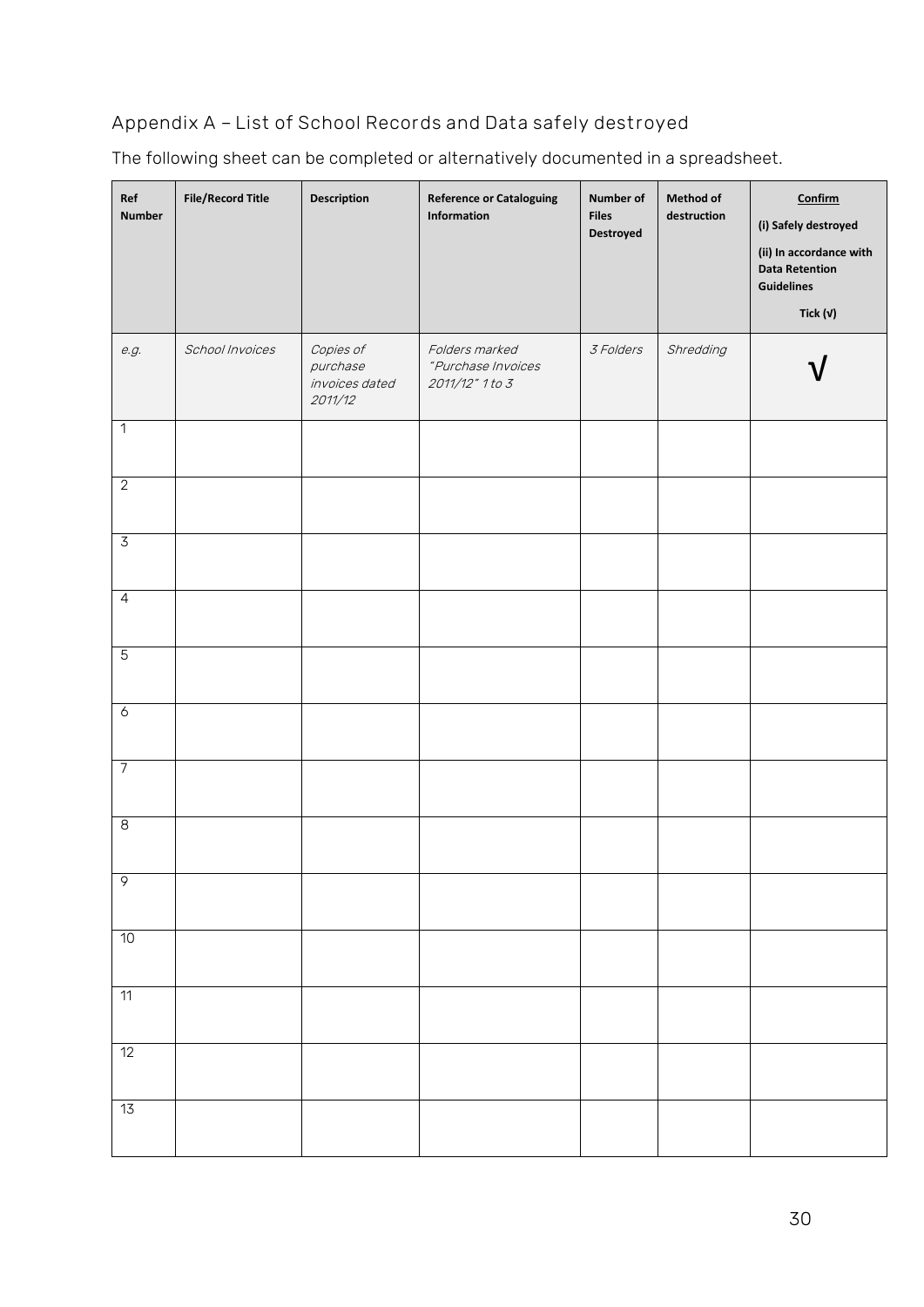# **Appendix A – List of School Records and Data safely destroyed**

The following sheet can be completed or alternatively documented in a spreadsheet.

| Ref<br><b>Number</b>    | <b>File/Record Title</b> | Description                                        | <b>Reference or Cataloguing</b><br>Information          | Number of<br><b>Files</b><br>Destroyed | Method of<br>destruction | Confirm<br>(i) Safely destroyed<br>(ii) In accordance with<br><b>Data Retention</b><br><b>Guidelines</b><br>Tick $(v)$ |
|-------------------------|--------------------------|----------------------------------------------------|---------------------------------------------------------|----------------------------------------|--------------------------|------------------------------------------------------------------------------------------------------------------------|
| e.g.                    | School Invoices          | Copies of<br>purchase<br>invoices dated<br>2011/12 | Folders marked<br>"Purchase Invoices<br>2011/12" 1 to 3 | 3 Folders                              | Shredding                |                                                                                                                        |
| $\overline{1}$          |                          |                                                    |                                                         |                                        |                          |                                                                                                                        |
| $\overline{2}$          |                          |                                                    |                                                         |                                        |                          |                                                                                                                        |
| $\overline{3}$          |                          |                                                    |                                                         |                                        |                          |                                                                                                                        |
| $\overline{4}$          |                          |                                                    |                                                         |                                        |                          |                                                                                                                        |
| $\overline{5}$          |                          |                                                    |                                                         |                                        |                          |                                                                                                                        |
| $\acute{\rm{o}}$        |                          |                                                    |                                                         |                                        |                          |                                                                                                                        |
| $\overline{7}$          |                          |                                                    |                                                         |                                        |                          |                                                                                                                        |
| $\overline{\mathbf{8}}$ |                          |                                                    |                                                         |                                        |                          |                                                                                                                        |
| $\overline{9}$          |                          |                                                    |                                                         |                                        |                          |                                                                                                                        |
| 10                      |                          |                                                    |                                                         |                                        |                          |                                                                                                                        |
| 11                      |                          |                                                    |                                                         |                                        |                          |                                                                                                                        |
| 12                      |                          |                                                    |                                                         |                                        |                          |                                                                                                                        |
| 13                      |                          |                                                    |                                                         |                                        |                          |                                                                                                                        |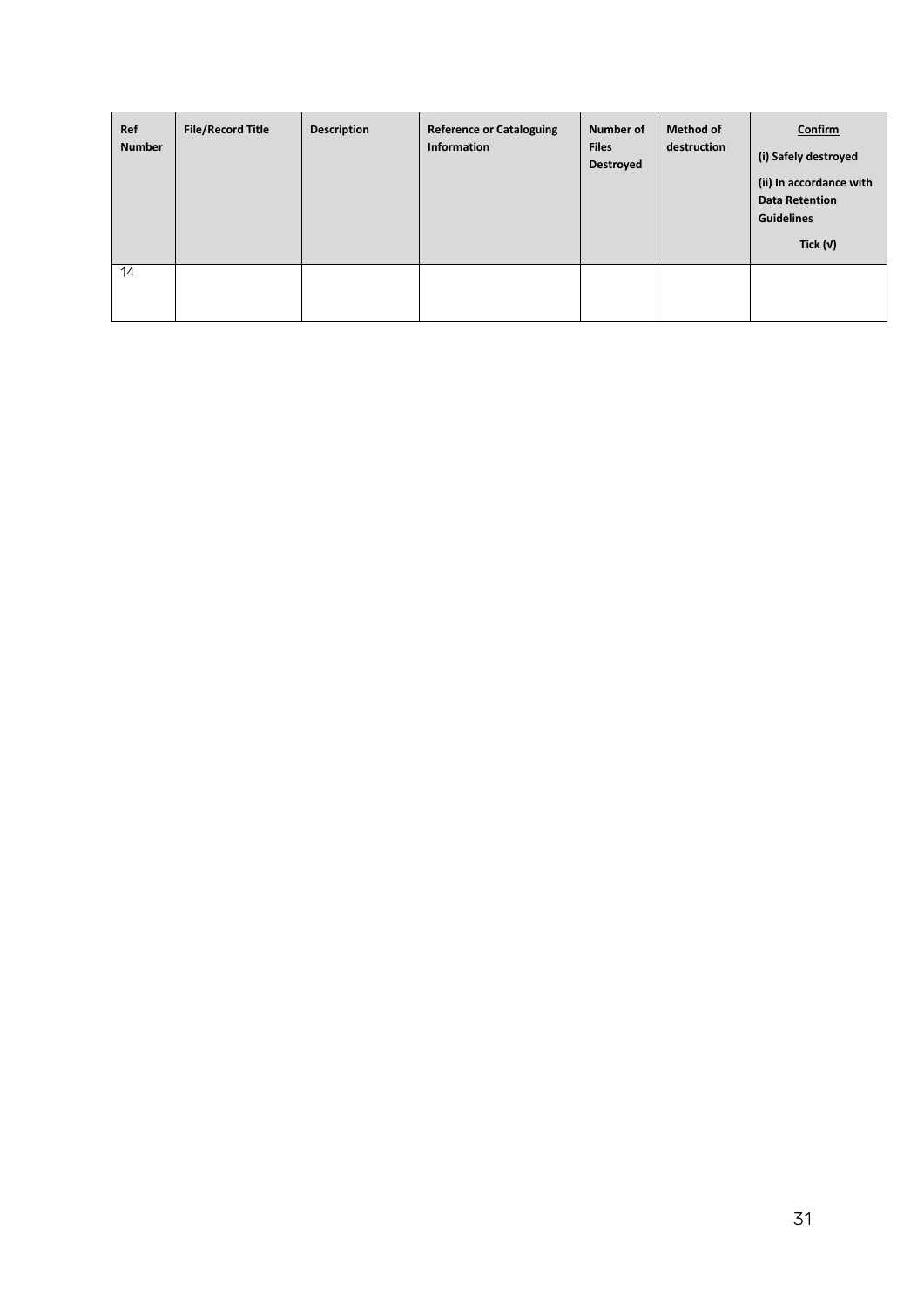| Ref<br><b>Number</b> | <b>File/Record Title</b> | <b>Description</b> | <b>Reference or Cataloguing</b><br><b>Information</b> | Number of<br><b>Files</b><br>Destroyed | <b>Method of</b><br>destruction | <b>Confirm</b><br>(i) Safely destroyed<br>(ii) In accordance with<br><b>Data Retention</b><br><b>Guidelines</b><br>Tick $(v)$ |
|----------------------|--------------------------|--------------------|-------------------------------------------------------|----------------------------------------|---------------------------------|-------------------------------------------------------------------------------------------------------------------------------|
| 14                   |                          |                    |                                                       |                                        |                                 |                                                                                                                               |